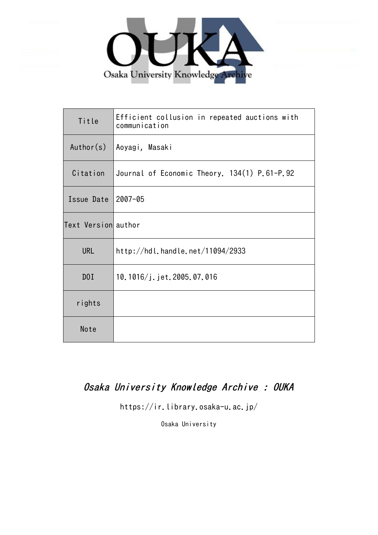

| Title               | Efficient collusion in repeated auctions with<br>communication |
|---------------------|----------------------------------------------------------------|
| Author(s)           | Aoyagi, Masaki                                                 |
| Citation            | Journal of Economic Theory. 134(1) P.61-P.92                   |
| Issue Date          | 2007-05                                                        |
| Text Version author |                                                                |
| <b>URL</b>          | http://hdl.handle.net/11094/2933                               |
| D0I                 | 10.1016/j. jet.2005.07.016                                     |
| rights              |                                                                |
| Note                |                                                                |

## Osaka University Knowledge Archive : OUKA

https://ir.library.osaka-u.ac.jp/

Osaka University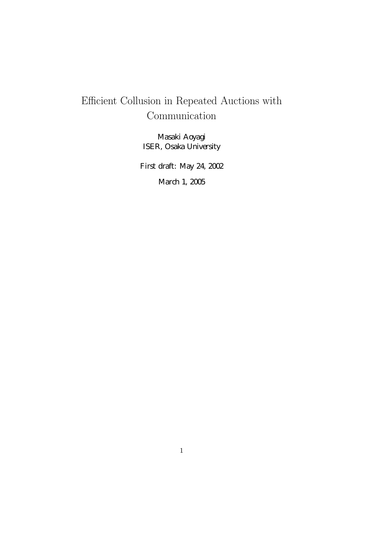# Efficient Collusion in Repeated Auctions with Communication

Masaki Aoyagi ISER, Osaka University

First draft: May 24, 2002

March 1, 2005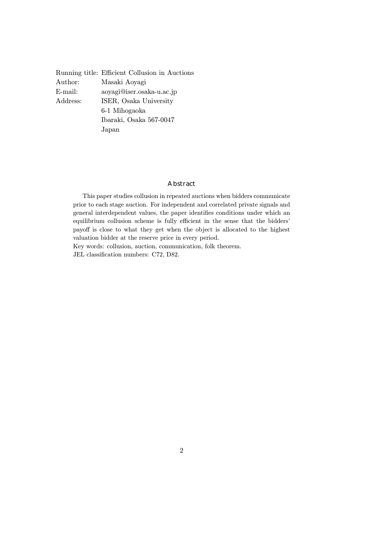Running title: Efficient Collusion in Auctions Author: Masaki Aoyagi E-mail: aoyagi@iser.osaka-u.ac.jp Address: ISER, Osaka University 6-1 Mihogaoka Ibaraki, Osaka 567-0047 Japan

#### Abstract

This paper studies collusion in repeated auctions when bidders communicate prior to each stage auction. For independent and correlated private signals and general interdependent values, the paper identifies conditions under which an equilibrium collusion scheme is fully efficient in the sense that the bidders' payoff is close to what they get when the object is allocated to the highest valuation bidder at the reserve price in every period. Key words: collusion, auction, communication, folk theorem.

JEL classification numbers: C72, D82.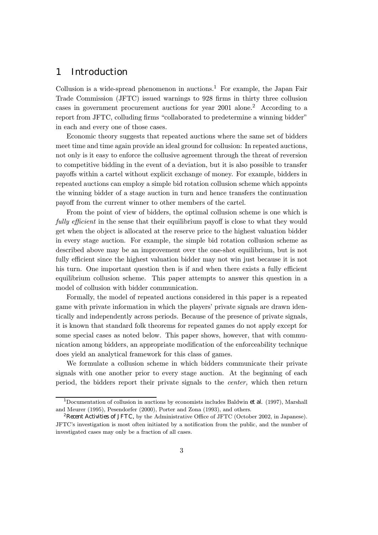#### 1 Introduction

Collusion is a wide-spread phenomenon in auctions.<sup>1</sup> For example, the Japan Fair Trade Commission (JFTC) issued warnings to 928 firms in thirty three collusion cases in government procurement auctions for year 2001 alone.<sup>2</sup> According to a report from JFTC, colluding firms "collaborated to predetermine a winning bidder" in each and every one of those cases.

Economic theory suggests that repeated auctions where the same set of bidders meet time and time again provide an ideal ground for collusion: In repeated auctions, not only is it easy to enforce the collusive agreement through the threat of reversion to competitive bidding in the event of a deviation, but it is also possible to transfer payoffs within a cartel without explicit exchange of money. For example, bidders in repeated auctions can employ a simple bid rotation collusion scheme which appoints the winning bidder of a stage auction in turn and hence transfers the continuation payoff from the current winner to other members of the cartel.

From the point of view of bidders, the optimal collusion scheme is one which is fully efficient in the sense that their equilibrium payoff is close to what they would get when the object is allocated at the reserve price to the highest valuation bidder in every stage auction. For example, the simple bid rotation collusion scheme as described above may be an improvement over the one-shot equilibrium, but is not fully efficient since the highest valuation bidder may not win just because it is not his turn. One important question then is if and when there exists a fully efficient equilibrium collusion scheme. This paper attempts to answer this question in a model of collusion with bidder communication.

Formally, the model of repeated auctions considered in this paper is a repeated game with private information in which the players' private signals are drawn identically and independently across periods. Because of the presence of private signals, it is known that standard folk theorems for repeated games do not apply except for some special cases as noted below. This paper shows, however, that with communication among bidders, an appropriate modification of the enforceability technique does yield an analytical framework for this class of games.

We formulate a collusion scheme in which bidders communicate their private signals with one another prior to every stage auction. At the beginning of each period, the bidders report their private signals to the center, which then return

<sup>&</sup>lt;sup>1</sup>Documentation of collusion in auctions by economists includes Baldwin et al. (1997), Marshall and Meurer (1995), Pesendorfer (2000), Porter and Zona (1993), and others.

<sup>&</sup>lt;sup>2</sup>Recent Activities of JFTC, by the Administrative Office of JFTC (October 2002, in Japanese). JFTC's investigation is most often initiated by a notification from the public, and the number of investigated cases may only be a fraction of all cases.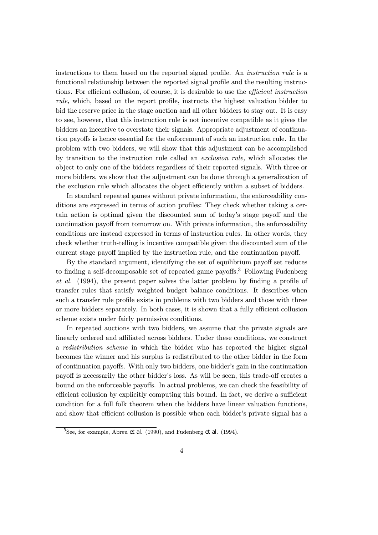instructions to them based on the reported signal profile. An instruction rule is a functional relationship between the reported signal profile and the resulting instructions. For efficient collusion, of course, it is desirable to use the efficient instruction rule, which, based on the report profile, instructs the highest valuation bidder to bid the reserve price in the stage auction and all other bidders to stay out. It is easy to see, however, that this instruction rule is not incentive compatible as it gives the bidders an incentive to overstate their signals. Appropriate adjustment of continuation payoffs is hence essential for the enforcement of such an instruction rule. In the problem with two bidders, we will show that this adjustment can be accomplished by transition to the instruction rule called an exclusion rule, which allocates the object to only one of the bidders regardless of their reported signals. With three or more bidders, we show that the adjustment can be done through a generalization of the exclusion rule which allocates the object efficiently within a subset of bidders.

In standard repeated games without private information, the enforceability conditions are expressed in terms of action profiles: They check whether taking a certain action is optimal given the discounted sum of todayís stage payoff and the continuation payoff from tomorrow on. With private information, the enforceability conditions are instead expressed in terms of instruction rules. In other words, they check whether truth-telling is incentive compatible given the discounted sum of the current stage payoff implied by the instruction rule, and the continuation payoff.

By the standard argument, identifying the set of equilibrium payoff set reduces to finding a self-decomposable set of repeated game payoffs.<sup>3</sup> Following Fudenberg et al. (1994), the present paper solves the latter problem by finding a profile of transfer rules that satisfy weighted budget balance conditions. It describes when such a transfer rule profile exists in problems with two bidders and those with three or more bidders separately. In both cases, it is shown that a fully efficient collusion scheme exists under fairly permissive conditions.

In repeated auctions with two bidders, we assume that the private signals are linearly ordered and affiliated across bidders. Under these conditions, we construct a redistribution scheme in which the bidder who has reported the higher signal becomes the winner and his surplus is redistributed to the other bidder in the form of continuation payoffs. With only two bidders, one bidderís gain in the continuation payoff is necessarily the other bidderís loss. As will be seen, this trade-off creates a bound on the enforceable payoffs. In actual problems, we can check the feasibility of efficient collusion by explicitly computing this bound. In fact, we derive a sufficient condition for a full folk theorem when the bidders have linear valuation functions, and show that efficient collusion is possible when each bidder's private signal has a

 $3$ See, for example, Abreu et al. (1990), and Fudenberg et al. (1994).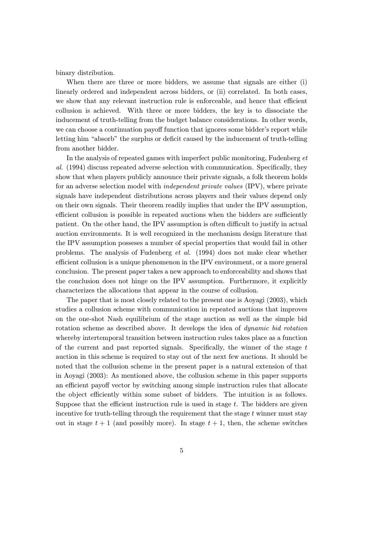binary distribution.

When there are three or more bidders, we assume that signals are either (i) linearly ordered and independent across bidders, or (ii) correlated. In both cases, we show that any relevant instruction rule is enforceable, and hence that efficient collusion is achieved. With three or more bidders, the key is to dissociate the inducement of truth-telling from the budget balance considerations. In other words, we can choose a continuation payoff function that ignores some bidder's report while letting him "absorb" the surplus or deficit caused by the inducement of truth-telling from another bidder.

In the analysis of repeated games with imperfect public monitoring, Fudenberg et al. (1994) discuss repeated adverse selection with communication. Specifically, they show that when players publicly announce their private signals, a folk theorem holds for an adverse selection model with independent private values (IPV), where private signals have independent distributions across players and their values depend only on their own signals. Their theorem readily implies that under the IPV assumption, efficient collusion is possible in repeated auctions when the bidders are sufficiently patient. On the other hand, the IPV assumption is often difficult to justify in actual auction environments. It is well recognized in the mechanism design literature that the IPV assumption posseses a number of special properties that would fail in other problems. The analysis of Fudenberg et al. (1994) does not make clear whether efficient collusion is a unique phenomenon in the IPV environment, or a more general conclusion. The present paper takes a new approach to enforceability and shows that the conclusion does not hinge on the IPV assumption. Furthermore, it explicitly characterizes the allocations that appear in the course of collusion.

The paper that is most closely related to the present one is Aoyagi (2003), which studies a collusion scheme with communication in repeated auctions that improves on the one-shot Nash equilibrium of the stage auction as well as the simple bid rotation scheme as described above. It develops the idea of dynamic bid rotation whereby intertemporal transition between instruction rules takes place as a function of the current and past reported signals. Specifically, the winner of the stage  $t$ auction in this scheme is required to stay out of the next few auctions. It should be noted that the collusion scheme in the present paper is a natural extension of that in Aoyagi (2003): As mentioned above, the collusion scheme in this paper supports an efficient payoff vector by switching among simple instruction rules that allocate the object efficiently within some subset of bidders. The intuition is as follows. Suppose that the efficient instruction rule is used in stage  $t$ . The bidders are given incentive for truth-telling through the requirement that the stage  $t$  winner must stay out in stage  $t + 1$  (and possibly more). In stage  $t + 1$ , then, the scheme switches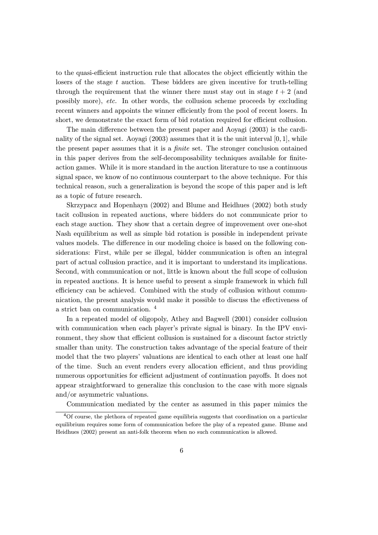to the quasi-efficient instruction rule that allocates the object efficiently within the losers of the stage  $t$  auction. These bidders are given incentive for truth-telling through the requirement that the winner there must stay out in stage  $t + 2$  (and possibly more), etc. In other words, the collusion scheme proceeds by excluding recent winners and appoints the winner efficiently from the pool of recent losers. In short, we demonstrate the exact form of bid rotation required for efficient collusion.

The main difference between the present paper and Aoyagi (2003) is the cardinality of the signal set. Aoyagi  $(2003)$  assumes that it is the unit interval  $[0, 1]$ , while the present paper assumes that it is a finite set. The stronger conclusion ontained in this paper derives from the self-decomposability techniques available for finiteaction games. While it is more standard in the auction literature to use a continuous signal space, we know of no continuous counterpart to the above technique. For this technical reason, such a generalization is beyond the scope of this paper and is left as a topic of future research.

Skrzypacz and Hopenhayn (2002) and Blume and Heidhues (2002) both study tacit collusion in repeated auctions, where bidders do not communicate prior to each stage auction. They show that a certain degree of improvement over one-shot Nash equilibrium as well as simple bid rotation is possible in independent private values models. The difference in our modeling choice is based on the following considerations: First, while per se illegal, bidder communication is often an integral part of actual collusion practice, and it is important to understand its implications. Second, with communication or not, little is known about the full scope of collusion in repeated auctions. It is hence useful to present a simple framework in which full efficiency can be achieved. Combined with the study of collusion without communication, the present analysis would make it possible to discuss the effectiveness of a strict ban on communication. <sup>4</sup>

In a repeated model of oligopoly, Athey and Bagwell (2001) consider collusion with communication when each player's private signal is binary. In the IPV environment, they show that efficient collusion is sustained for a discount factor strictly smaller than unity. The construction takes advantage of the special feature of their model that the two players' valuations are identical to each other at least one half of the time. Such an event renders every allocation efficient, and thus providing numerous opportunities for efficient adjustment of continuation payoffs. It does not appear straightforward to generalize this conclusion to the case with more signals and/or asymmetric valuations.

Communication mediated by the center as assumed in this paper mimics the

<sup>&</sup>lt;sup>4</sup>Of course, the plethora of repeated game equilibria suggests that coordination on a particular equilibrium requires some form of communication before the play of a repeated game. Blume and Heidhues (2002) present an anti-folk theorem when no such communication is allowed.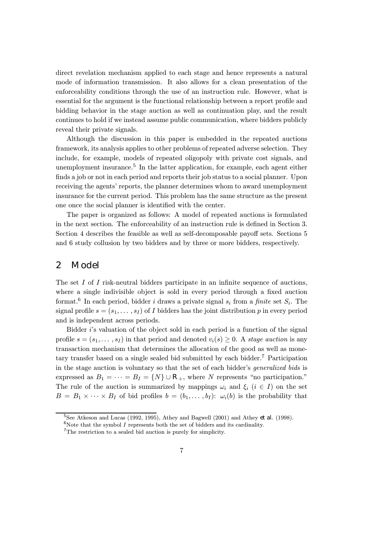direct revelation mechanism applied to each stage and hence represents a natural mode of information transmission. It also allows for a clean presentation of the enforceability conditions through the use of an instruction rule. However, what is essential for the argument is the functional relationship between a report profile and bidding behavior in the stage auction as well as continuation play, and the result continues to hold if we instead assume public communication, where bidders publicly reveal their private signals.

Although the discussion in this paper is embedded in the repeated auctions framework, its analysis applies to other problems of repeated adverse selection. They include, for example, models of repeated oligopoly with private cost signals, and unemployment insurance.<sup>5</sup> In the latter application, for example, each agent either finds a job or not in each period and reports their job status to a social planner. Upon receiving the agents' reports, the planner determines whom to award unemployment insurance for the current period. This problem has the same structure as the present one once the social planner is identified with the center.

The paper is organized as follows: A model of repeated auctions is formulated in the next section. The enforceability of an instruction rule is defined in Section 3. Section 4 describes the feasible as well as self-decomposable payoff sets. Sections 5 and 6 study collusion by two bidders and by three or more bidders, respectively.

## 2 Model

The set I of I risk-neutral bidders participate in an infinite sequence of auctions, where a single indivisible object is sold in every period through a fixed auction format.<sup>6</sup> In each period, bidder i draws a private signal  $s_i$  from a finite set  $S_i$ . The signal profile  $s = (s_1, \ldots, s_I)$  of I bidders has the joint distribution p in every period and is independent across periods.

Bidder  $i$ 's valuation of the object sold in each period is a function of the signal profile  $s = (s_1, \ldots, s_I)$  in that period and denoted  $v_i(s) \geq 0$ . A stage auction is any transaction mechanism that determines the allocation of the good as well as monetary transfer based on a single sealed bid submitted by each bidder.<sup>7</sup> Participation in the stage auction is voluntary so that the set of each bidder's *generalized bids* is expressed as  $B_1 = \cdots = B_I = \{N\} \cup \mathsf{R}_+$ , where N represents "no participation." The rule of the auction is summarized by mappings  $\omega_i$  and  $\xi_i$  ( $i \in I$ ) on the set  $B = B_1 \times \cdots \times B_I$  of bid profiles  $b = (b_1, \ldots, b_I)$ :  $\omega_i(b)$  is the probability that

 $5$ See Atkeson and Lucas (1992, 1995), Athey and Bagwell (2001) and Athey et al. (1998).

 $6$ Note that the symbol  $I$  represents both the set of bidders and its cardinality.

<sup>7</sup>The restriction to a sealed bid auction is purely for simplicity.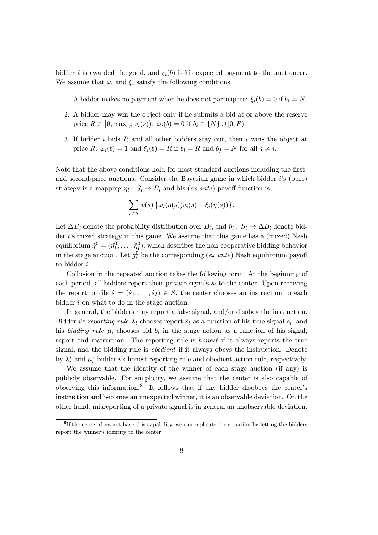bidder i is awarded the good, and  $\xi_i(b)$  is his expected payment to the auctioneer. We assume that  $\omega_i$  and  $\xi_i$  satisfy the following conditions.

- 1. A bidder makes no payment when he does not participate:  $\xi_i(b) = 0$  if  $b_i = N$ .
- 2. A bidder may win the object only if he submits a bid at or above the reserve price  $R \in [0, \max_{s,i} v_i(s))$ :  $\omega_i(b) = 0$  if  $b_i \in \{N\} \cup [0, R)$ .
- 3. If bidder i bids  $R$  and all other bidders stay out, then i wins the object at price R:  $\omega_i(b) = 1$  and  $\xi_i(b) = R$  if  $b_i = R$  and  $b_j = N$  for all  $j \neq i$ .

Note that the above conditions hold for most standard auctions including the firstand second-price auctions. Consider the Bayesian game in which bidder  $i$ 's (pure) strategy is a mapping  $\eta_i : S_i \to B_i$  and his (ex ante) payoff function is

$$
\sum_{s\in S} p(s) \left\{ \omega_i(\eta(s)) v_i(s) - \xi_i(\eta(s)) \right\}.
$$

Let  $\Delta B_i$  denote the probability distribution over  $B_i$ , and  $\tilde{\eta}_i : S_i \to \Delta B_i$  denote bidder i's mixed strategy in this game. We assume that this game has a (mixed) Nash equilibrium  $\tilde{\eta}^0 = (\tilde{\eta}_1^0, \ldots, \tilde{\eta}_I^0)$ , which describes the non-cooperative bidding behavior in the stage auction. Let  $g_i^0$  be the corresponding (*ex ante*) Nash equilibrium payoff to bidder i.

Collusion in the repeated auction takes the following form: At the beginning of each period, all bidders report their private signals  $s_i$  to the center. Upon receiving the report profile  $\hat{s} = (\hat{s}_1, \ldots, \hat{s}_I) \in S$ , the center chooses an instruction to each bidder i on what to do in the stage auction.

In general, the bidders may report a false signal, and/or disobey the instruction. Bidder i's reporting rule  $\lambda_i$  chooses report  $\hat{s}_i$  as a function of his true signal  $s_i$ , and his bidding rule  $\mu_i$  chooses bid  $b_i$  in the stage action as a function of his signal, report and instruction. The reporting rule is honest if it always reports the true signal, and the bidding rule is obedient if it always obeys the instruction. Denote by  $\lambda_i^*$  and  $\mu_i^*$  bidder *i*'s honest reporting rule and obedient action rule, respectively.

We assume that the identity of the winner of each stage auction (if any) is publicly observable. For simplicity, we assume that the center is also capable of observing this information.<sup>8</sup> It follows that if any bidder disobeys the center's instruction and becomes an unexpected winner, it is an observable deviation. On the other hand, misreporting of a private signal is in general an unobservable deviation.

<sup>&</sup>lt;sup>8</sup>If the center does not have this capability, we can replicate the situation by letting the bidders report the winner's identity to the center.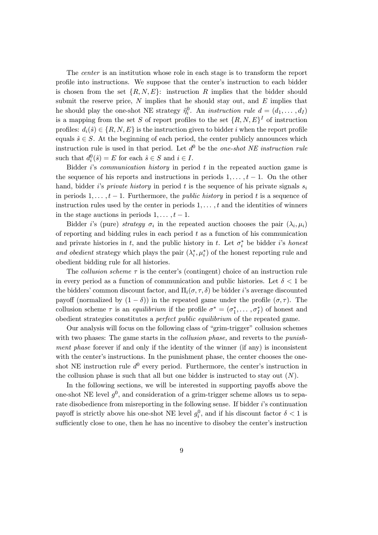The center is an institution whose role in each stage is to transform the report profile into instructions. We suppose that the center's instruction to each bidder is chosen from the set  $\{R, N, E\}$ : instruction R implies that the bidder should submit the reserve price,  $N$  implies that he should stay out, and  $E$  implies that he should play the one-shot NE strategy  $\tilde{\eta}_i^0$ . An *instruction rule d* =  $(d_1, \ldots, d_I)$ is a mapping from the set S of report profiles to the set  $\{R, N, E\}^I$  of instruction profiles:  $d_i(\hat{s}) \in \{R, N, E\}$  is the instruction given to bidder i when the report profile equals  $\hat{s} \in S$ . At the beginning of each period, the center publicly announces which instruction rule is used in that period. Let  $d^0$  be the *one-shot NE instruction rule* such that  $d_i^0(\hat{s}) = E$  for each  $\hat{s} \in S$  and  $i \in I$ .

Bidder  $i$ 's *communication history* in period  $t$  in the repeated auction game is the sequence of his reports and instructions in periods  $1, \ldots, t-1$ . On the other hand, bidder is private history in period t is the sequence of his private signals  $s_i$ in periods  $1, \ldots, t-1$ . Furthermore, the *public history* in period t is a sequence of instruction rules used by the center in periods  $1, \ldots, t$  and the identities of winners in the stage auctions in periods  $1, \ldots, t-1$ .

Bidder i's (pure) strategy  $\sigma_i$  in the repeated auction chooses the pair  $(\lambda_i, \mu_i)$ of reporting and bidding rules in each period  $t$  as a function of his communication and private histories in t, and the public history in t. Let  $\sigma_i^*$  be bidder i's honest and obedient strategy which plays the pair  $(\lambda_i^*, \mu_i^*)$  of the honest reporting rule and obedient bidding rule for all histories.

The *collusion scheme*  $\tau$  is the center's (contingent) choice of an instruction rule in every period as a function of communication and public histories. Let  $\delta < 1$  be the bidders' common discount factor, and  $\Pi_i(\sigma, \tau, \delta)$  be bidder i's average discounted payoff (normalized by  $(1 - \delta)$ ) in the repeated game under the profile  $(\sigma, \tau)$ . The collusion scheme  $\tau$  is an *equilibrium* if the profile  $\sigma^* = (\sigma_1^*, \dots, \sigma_l^*)$  of honest and obedient strategies constitutes a perfect public equilibrium of the repeated game.

Our analysis will focus on the following class of "grim-trigger" collusion schemes with two phases: The game starts in the *collusion phase*, and reverts to the *punish*ment phase forever if and only if the identity of the winner (if any) is inconsistent with the center's instructions. In the punishment phase, the center chooses the oneshot NE instruction rule  $d^0$  every period. Furthermore, the center's instruction in the collusion phase is such that all but one bidder is instructed to stay out  $(N)$ .

In the following sections, we will be interested in supporting payoffs above the one-shot NE level  $g^0$ , and consideration of a grim-trigger scheme allows us to separate disobedience from misreporting in the following sense. If bidder i's continuation payoff is strictly above his one-shot NE level  $g_i^0$ , and if his discount factor  $\delta < 1$  is sufficiently close to one, then he has no incentive to disobey the center's instruction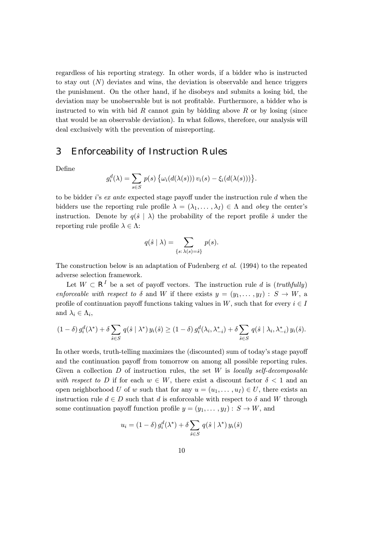regardless of his reporting strategy. In other words, if a bidder who is instructed to stay out  $(N)$  deviates and wins, the deviation is observable and hence triggers the punishment. On the other hand, if he disobeys and submits a losing bid, the deviation may be unobservable but is not profitable. Furthermore, a bidder who is instructed to win with bid  $R$  cannot gain by bidding above  $R$  or by losing (since that would be an observable deviation). In what follows, therefore, our analysis will deal exclusively with the prevention of misreporting.

#### 3 Enforceability of Instruction Rules

Define

$$
g_i^d(\lambda) = \sum_{s \in S} p(s) \{ \omega_i(d(\lambda(s))) v_i(s) - \xi_i(d(\lambda(s))) \}.
$$

to be bidder is ex ante expected stage payoff under the instruction rule  $d$  when the bidders use the reporting rule profile  $\lambda = (\lambda_1, \dots, \lambda_l) \in \Lambda$  and obey the center's instruction. Denote by  $q(\hat{s} \mid \lambda)$  the probability of the report profile  $\hat{s}$  under the reporting rule profile  $\lambda \in \Lambda$ :

$$
q(\hat{s} \mid \lambda) = \sum_{\{s: \lambda(s) = \hat{s}\}} p(s).
$$

The construction below is an adaptation of Fudenberg *et al.* (1994) to the repeated adverse selection framework.

Let  $W \subset \mathbb{R}^I$  be a set of payoff vectors. The instruction rule d is (truthfully) enforceable with respect to  $\delta$  and W if there exists  $y = (y_1, \ldots, y_I) : S \to W$ , a profile of continuation payoff functions taking values in W, such that for every  $i \in I$ and  $\lambda_i \in \Lambda_i$ ,

$$
(1-\delta) g_i^d(\lambda^*) + \delta \sum_{\hat{s}\in S} q(\hat{s} \mid \lambda^*) y_i(\hat{s}) \ge (1-\delta) g_i^d(\lambda_i, \lambda_{-i}^*) + \delta \sum_{\hat{s}\in S} q(\hat{s} \mid \lambda_i, \lambda_{-i}^*) y_i(\hat{s}).
$$

In other words, truth-telling maximizes the (discounted) sum of today's stage payoff and the continuation payoff from tomorrow on among all possible reporting rules. Given a collection  $D$  of instruction rules, the set  $W$  is locally self-decomposable with respect to D if for each  $w \in W$ , there exist a discount factor  $\delta < 1$  and an open neighborhood U of w such that for any  $u = (u_1, \ldots, u_I) \in U$ , there exists an instruction rule  $d \in D$  such that d is enforceable with respect to  $\delta$  and W through some continuation payoff function profile  $y = (y_1, \ldots, y_I) : S \to W$ , and

$$
u_i = (1 - \delta) g_i^d(\lambda^*) + \delta \sum_{\hat{s} \in S} q(\hat{s} | \lambda^*) y_i(\hat{s})
$$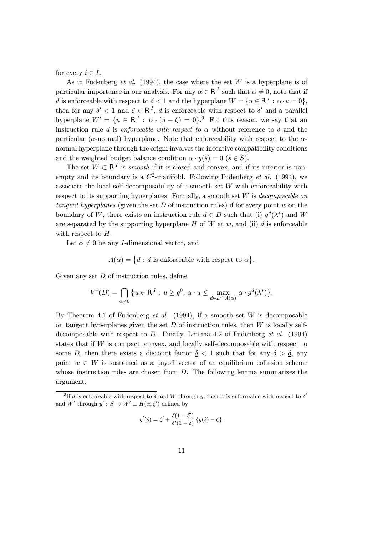for every  $i \in I$ .

As in Fudenberg *et al.* (1994), the case where the set W is a hyperplane is of particular importance in our analysis. For any  $\alpha \in \mathbb{R}^I$  such that  $\alpha \neq 0$ , note that if d is enforceable with respect to  $\delta < 1$  and the hyperplane  $W = \{u \in \mathbb{R}^I : \alpha \cdot u = 0\},\$ then for any  $\delta' < 1$  and  $\zeta \in \mathbb{R}^I$ , d is enforceable with respect to  $\delta'$  and a parallel hyperplane  $W' = \{u \in \mathbb{R}^I : \alpha \cdot (u - \zeta) = 0\}$ . For this reason, we say that an instruction rule d is enforceable with respect to  $\alpha$  without reference to  $\delta$  and the particular ( $\alpha$ -normal) hyperplane. Note that enforceability with respect to the  $\alpha$ normal hyperplane through the origin involves the incentive compatibility conditions and the weighted budget balance condition  $\alpha \cdot y(\hat{s}) = 0$  ( $\hat{s} \in S$ ).

The set  $W \subset \mathbb{R}^I$  is *smooth* if it is closed and convex, and if its interior is nonempty and its boundary is a  $C^2$ -manifold. Following Fudenberg *et al.* (1994), we associate the local self-decomposability of a smooth set  $W$  with enforceability with respect to its supporting hyperplanes. Formally, a smooth set  $W$  is *decomposable on* tangent hyperplanes (given the set  $D$  of instruction rules) if for every point  $w$  on the boundary of W, there exists an instruction rule  $d \in D$  such that (i)  $q^d(\lambda^*)$  and W are separated by the supporting hyperplane  $H$  of  $W$  at  $w$ , and (ii)  $d$  is enforceable with respect to  $H$ .

Let  $\alpha \neq 0$  be any *I*-dimensional vector, and

$$
A(\alpha) = \{d : d \text{ is enforceable with respect to } \alpha\}.
$$

Given any set  $D$  of instruction rules, define

$$
V^*(D) = \bigcap_{\alpha \neq 0} \{ u \in \mathbb{R}^I : u \geq g^0, \, \alpha \cdot u \leq \max_{d \in D \cap A(\alpha)} \alpha \cdot g^d(\lambda^*) \}.
$$

By Theorem 4.1 of Fudenberg *et al.* (1994), if a smooth set W is decomposable on tangent hyperplanes given the set  $D$  of instruction rules, then  $W$  is locally selfdecomposable with respect to D. Finally, Lemma 4.2 of Fudenberg et al. (1994) states that if W is compact, convex, and locally self-decomposable with respect to some D, then there exists a discount factor  $\delta < 1$  such that for any  $\delta > \delta$ , any point  $w \in W$  is sustained as a payoff vector of an equilibrium collusion scheme whose instruction rules are chosen from  $D$ . The following lemma summarizes the argument.

$$
y'(\hat{s}) = \zeta' + \frac{\delta(1-\delta')}{\delta'(1-\delta)} \{y(\hat{s}) - \zeta\}.
$$

<sup>&</sup>lt;sup>9</sup>If d is enforceable with respect to  $\delta$  and W through y, then it is enforceable with respect to  $\delta'$ and W' through  $y' : S \to W' \equiv H(\alpha, \zeta')$  defined by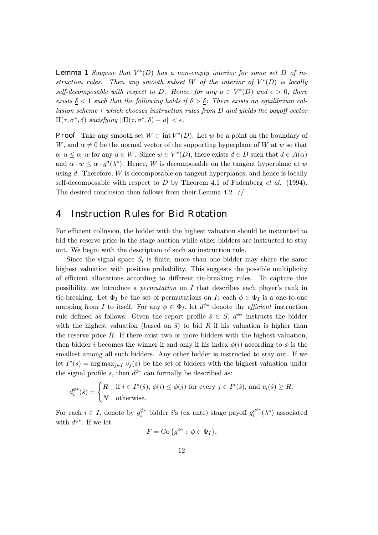Lemma 1 Suppose that  $V^*(D)$  has a non-empty interior for some set D of instruction rules. Then any smooth subset W of the interior of  $V^*(D)$  is locally self-decomposable with respect to D. Hence, for any  $u \in V^*(D)$  and  $\epsilon > 0$ , there exists  $\delta$  < 1 such that the following holds if  $\delta > \delta$ : There exists an equilibrium collusion scheme  $\tau$  which chooses instruction rules from D and yields the payoff vector  $\Pi(\tau, \sigma^*, \delta)$  satisfying  $\|\Pi(\tau, \sigma^*, \delta) - u\| < \epsilon$ .

Proof Take any smooth set  $W \subset \text{int } V^*(D)$ . Let w be a point on the boundary of W, and  $\alpha \neq 0$  be the normal vector of the supporting hyperplane of W at w so that  $\alpha \cdot u \leq \alpha \cdot w$  for any  $u \in W$ . Since  $w \in V^*(D)$ , there exists  $d \in D$  such that  $d \in A(\alpha)$ and  $\alpha \cdot w \leq \alpha \cdot q^d(\lambda^*)$ . Hence, W is decomposable on the tangent hyperplane at w using  $d$ . Therefore,  $W$  is decomposable on tangent hyperplanes, and hence is locally self-decomposable with respect to  $D$  by Theorem 4.1 of Fudenberg *et al.* (1994). The desired conclusion then follows from their Lemma 4.2. //

## 4 Instruction Rules for Bid Rotation

For efficient collusion, the bidder with the highest valuation should be instructed to bid the reserve price in the stage auction while other bidders are instructed to stay out. We begin with the description of such an instruction rule.

Since the signal space  $S_i$  is finite, more than one bidder may share the same highest valuation with positive probability. This suggests the possible multiplicity of efficient allocations according to different tie-breaking rules. To capture this possibility, we introduce a *permutation* on  $I$  that describes each player's rank in tie-breaking. Let  $\Phi_I$  be the set of permutations on I: each  $\phi \in \Phi_I$  is a one-to-one mapping from I to itself. For any  $\phi \in \Phi_I$ , let  $d^{\phi*}$  denote the *efficient* instruction rule defined as follows: Given the report profile  $\hat{s} \in S$ ,  $d^{\phi*}$  instructs the bidder with the highest valuation (based on  $\hat{s}$ ) to bid R if his valuation is higher than the reserve price R. If there exist two or more bidders with the highest valuation, then bidder i becomes the winner if and only if his index  $\phi(i)$  according to  $\phi$  is the smallest among all such bidders. Any other bidder is instructed to stay out. If we let  $I^*(s) = \arg \max_{i \in I} v_i(s)$  be the set of bidders with the highest valuation under the signal profile s, then  $d^{\phi*}$  can formally be described as:

$$
d_i^{\phi*}(\hat{s}) = \begin{cases} R & \text{if } i \in I^*(\hat{s}), \ \phi(i) \le \phi(j) \text{ for every } j \in I^*(\hat{s}), \text{ and } v_i(\hat{s}) \ge R, \\ N & \text{otherwise.} \end{cases}
$$

For each  $i \in I$ , denote by  $g_i^{\phi^*}$  bidder i's (ex ante) stage payoff  $g_i^{d^*}(\lambda^*)$  associated with  $d^{\phi*}$ . If we let

$$
F = \mathrm{Co}\,\{g^{\phi*} : \phi \in \Phi_I\},\
$$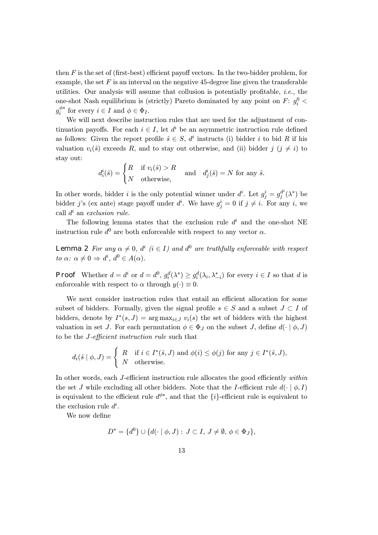then  $F$  is the set of (first-best) efficient payoff vectors. In the two-bidder problem, for example, the set  $F$  is an interval on the negative 45-degree line given the transferable utilities. Our analysis will assume that collusion is potentially profitable, *i.e.*, the one-shot Nash equilibrium is (strictly) Pareto dominated by any point on  $F: g_i^0$  <  $g_i^{\phi*}$  for every  $i \in I$  and  $\phi \in \Phi_I$ .

We will next describe instruction rules that are used for the adjustment of continuation payoffs. For each  $i \in I$ , let  $d^i$  be an asymmetric instruction rule defined as follows: Given the report profile  $\hat{s} \in S$ ,  $d^i$  instructs (i) bidder i to bid R if his valuation  $v_i(\hat{s})$  exceeds R, and to stay out otherwise, and (ii) bidder  $j$  ( $j \neq i$ ) to stay out:

$$
d_i^i(\hat{s}) = \begin{cases} R & \text{if } v_i(\hat{s}) > R \\ N & \text{otherwise,} \end{cases} \quad \text{and} \quad d_j^i(\hat{s}) = N \text{ for any } \hat{s}.
$$

In other words, bidder i is the only potential winner under  $d^i$ . Let  $g_j^i = g_j^{d^i}(\lambda^*)$  be bidder j's (ex ante) stage payoff under  $d^i$ . We have  $g^i_j = 0$  if  $j \neq i$ . For any i, we call  $d^i$  an exclusion rule.

The following lemma states that the exclusion rule  $d^i$  and the one-shot NE instruction rule  $d^0$  are both enforceable with respect to any vector  $\alpha$ .

Lemma 2 For any  $\alpha \neq 0$ ,  $d^i$   $(i \in I)$  and  $d^0$  are truthfully enforceable with respect to  $\alpha$ :  $\alpha \neq 0 \Rightarrow d^i, d^0 \in A(\alpha)$ .

Proof Whether  $d = d^i$  or  $d = d^0$ ,  $g_i^d(\lambda^*) \geq g_i^d(\lambda_i, \lambda^*_{-i})$  for every  $i \in I$  so that d is enforceable with respect to  $\alpha$  through  $y(\cdot) \equiv 0$ .

We next consider instruction rules that entail an efficient allocation for some subset of bidders. Formally, given the signal profile  $s \in S$  and a subset  $J \subset I$  of bidders, denote by  $I^*(s, J) = \arg \max_{i \in J} v_i(s)$  the set of bidders with the highest valuation in set J. For each permutation  $\phi \in \Phi_J$  on the subset J, define  $d(\cdot | \phi, J)$ to be the J-efficient instruction rule such that

$$
d_i(\hat{s} \mid \phi, J) = \begin{cases} R & \text{if } i \in I^*(\hat{s}, J) \text{ and } \phi(i) \le \phi(j) \text{ for any } j \in I^*(\hat{s}, J), \\ N & \text{otherwise.} \end{cases}
$$

In other words, each J-efficient instruction rule allocates the good efficiently within the set J while excluding all other bidders. Note that the I-efficient rule  $d(\cdot | \phi, I)$ is equivalent to the efficient rule  $d^{\phi*}$ , and that the  $\{i\}$ -efficient rule is equivalent to the exclusion rule  $d^i$ .

We now define

$$
D^* = \{d^0\} \cup \{d(\cdot \mid \phi, J) : J \subset I, J \neq \emptyset, \phi \in \Phi_J\},\
$$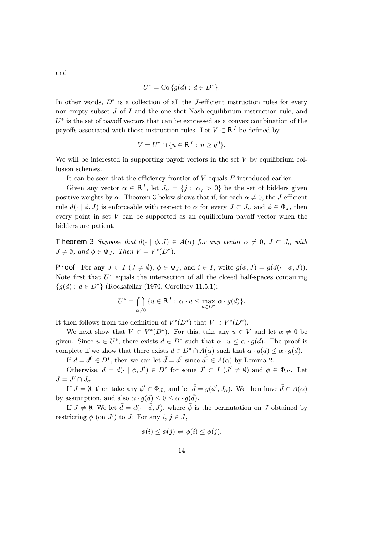$$
U^* = \mathrm{Co}\, \{g(d) : d \in D^*\}.
$$

In other words,  $D^*$  is a collection of all the J-efficient instruction rules for every non-empty subset  $J$  of  $I$  and the one-shot Nash equilibrium instruction rule, and  $U^*$  is the set of payoff vectors that can be expressed as a convex combination of the payoffs associated with those instruction rules. Let  $V \subset \mathbb{R}^I$  be defined by

$$
V = U^* \cap \{u \in \mathsf{R}^I : u \ge g^0\}.
$$

We will be interested in supporting payoff vectors in the set  $V$  by equilibrium collusion schemes.

It can be seen that the efficiency frontier of  $V$  equals  $F$  introduced earlier.

Given any vector  $\alpha \in \mathbb{R}^I$ , let  $J_\alpha = \{j : \alpha_j > 0\}$  be the set of bidders given positive weights by  $\alpha$ . Theorem 3 below shows that if, for each  $\alpha \neq 0$ , the J-efficient rule  $d(\cdot | \phi, J)$  is enforceable with respect to  $\alpha$  for every  $J \subset J_{\alpha}$  and  $\phi \in \Phi_J$ , then every point in set  $V$  can be supported as an equilibrium payoff vector when the bidders are patient.

Theorem 3 Suppose that  $d(\cdot | \phi, J) \in A(\alpha)$  for any vector  $\alpha \neq 0$ ,  $J \subset J_\alpha$  with  $J \neq \emptyset$ , and  $\phi \in \Phi_J$ . Then  $V = V^*(D^*)$ .

Proof For any  $J \subset I$   $(J \neq \emptyset)$ ,  $\phi \in \Phi_J$ , and  $i \in I$ , write  $g(\phi, J) = g(d(\cdot | \phi, J))$ . Note first that  $U^*$  equals the intersection of all the closed half-spaces containing  ${q(d): d \in D^*}$  (Rockafellar (1970, Corollary 11.5.1):

$$
U^* = \bigcap_{\alpha \neq 0} \{ u \in \mathsf{R}^I : \alpha \cdot u \leq \max_{d \in D^*} \alpha \cdot g(d) \}.
$$

It then follows from the definition of  $V^*(D^*)$  that  $V \supset V^*(D^*)$ .

We next show that  $V \subset V^*(D^*)$ . For this, take any  $u \in V$  and let  $\alpha \neq 0$  be given. Since  $u \in U^*$ , there exists  $d \in D^*$  such that  $\alpha \cdot u \leq \alpha \cdot g(d)$ . The proof is complete if we show that there exists  $\bar{d} \in D^* \cap A(\alpha)$  such that  $\alpha \cdot g(d) \leq \alpha \cdot g(\bar{d})$ .

If  $d = d^0 \in D^*$ , then we can let  $\bar{d} = d^0$  since  $d^0 \in A(\alpha)$  by Lemma 2.

Otherwise,  $d = d(\cdot \mid \phi, J') \in D^*$  for some  $J' \subset I$   $(J' \neq \emptyset)$  and  $\phi \in \Phi_{J'}$ . Let  $J = J' \cap J_{\alpha}$ .

If  $J = \emptyset$ , then take any  $\phi' \in \Phi_{J_\alpha}$  and let  $\overline{d} = g(\phi', J_\alpha)$ . We then have  $\overline{d} \in A(\alpha)$ by assumption, and also  $\alpha \cdot g(d) \leq 0 \leq \alpha \cdot g(d)$ .

If  $J \neq \emptyset$ , We let  $\bar{d} = d(\cdot | \bar{\phi}, J)$ , where  $\bar{\phi}$  is the permutation on J obtained by restricting  $\phi$  (on  $J'$ ) to J: For any  $i, j \in J$ ,

$$
\bar{\phi}(i) \le \bar{\phi}(j) \Leftrightarrow \phi(i) \le \phi(j).
$$

and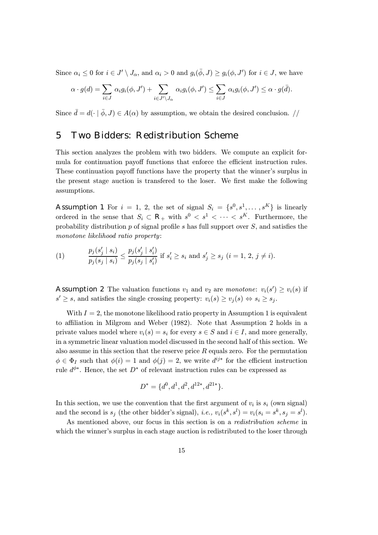Since  $\alpha_i \leq 0$  for  $i \in J' \setminus J_\alpha$ , and  $\alpha_i > 0$  and  $g_i(\bar{\phi}, J) \geq g_i(\phi, J')$  for  $i \in J$ , we have

$$
\alpha \cdot g(d) = \sum_{i \in J} \alpha_i g_i(\phi, J') + \sum_{i \in J' \setminus J_\alpha} \alpha_i g_i(\phi, J') \leq \sum_{i \in J} \alpha_i g_i(\phi, J') \leq \alpha \cdot g(\bar{d}).
$$

Since  $\bar{d} = d(\cdot | \bar{\phi}, J) \in A(\alpha)$  by assumption, we obtain the desired conclusion. //

#### 5 Two Bidders: Redistribution Scheme

This section analyzes the problem with two bidders. We compute an explicit formula for continuation payoff functions that enforce the efficient instruction rules. These continuation payoff functions have the property that the winner's surplus in the present stage auction is transfered to the loser. We first make the following assumptions.

Assumption 1 For  $i = 1, 2$ , the set of signal  $S_i = \{s^0, s^1, \ldots, s^K\}$  is linearly ordered in the sense that  $S_i \subset \mathsf{R}_+$  with  $s^0 \prec s^1 \prec \cdots \prec s^K$ . Furthermore, the probability distribution p of signal profile s has full support over  $S$ , and satisfies the monotone likelihood ratio property:

(1) 
$$
\frac{p_j(s'_j \mid s_i)}{p_j(s_j \mid s_i)} \leq \frac{p_j(s'_j \mid s'_i)}{p_j(s_j \mid s'_i)} \text{ if } s'_i \geq s_i \text{ and } s'_j \geq s_j \ (i = 1, 2, j \neq i).
$$

Assumption 2 The valuation functions  $v_1$  and  $v_2$  are monotone:  $v_i(s') \ge v_i(s)$  if  $s' \geq s$ , and satisfies the single crossing property:  $v_i(s) \geq v_j(s) \Leftrightarrow s_i \geq s_j$ .

With  $I = 2$ , the monotone likelihood ratio property in Assumption 1 is equivalent to affiliation in Milgrom and Weber (1982). Note that Assumption 2 holds in a private values model where  $v_i(s) = s_i$  for every  $s \in S$  and  $i \in I$ , and more generally, in a symmetric linear valuation model discussed in the second half of this section. We also assume in this section that the reserve price  $R$  equals zero. For the permutation  $\phi \in \Phi_I$  such that  $\phi(i) = 1$  and  $\phi(j) = 2$ , we write  $d^{ij*}$  for the efficient instruction rule  $d^{\phi*}$ . Hence, the set  $D^*$  of relevant instruction rules can be expressed as

$$
D^* = \{d^0, d^1, d^2, d^{12*}, d^{21*}\}.
$$

In this section, we use the convention that the first argument of  $v_i$  is  $s_i$  (own signal) and the second is  $s_j$  (the other bidder's signal), *i.e.*,  $v_i(s^k, s^l) = v_i(s_i = s^k, s_j = s^l)$ .

As mentioned above, our focus in this section is on a redistribution scheme in which the winner's surplus in each stage auction is redistributed to the loser through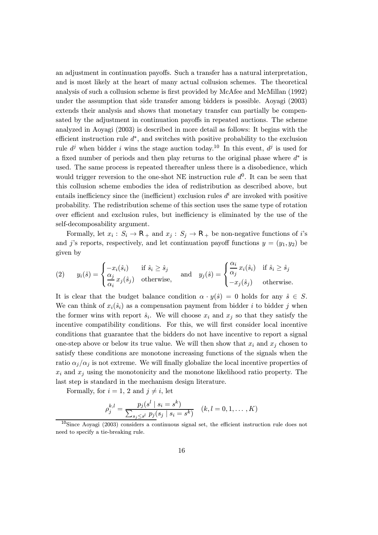an adjustment in continuation payoffs. Such a transfer has a natural interpretation, and is most likely at the heart of many actual collusion schemes. The theoretical analysis of such a collusion scheme is first provided by McAfee and McMillan (1992) under the assumption that side transfer among bidders is possible. Aoyagi (2003) extends their analysis and shows that monetary transfer can partially be compensated by the adjustment in continuation payoffs in repeated auctions. The scheme analyzed in Aoyagi (2003) is described in more detail as follows: It begins with the efficient instruction rule  $d^*$ , and switches with positive probability to the exclusion rule  $d^j$  when bidder i wins the stage auction today.<sup>10</sup> In this event,  $d^j$  is used for a fixed number of periods and then play returns to the original phase where  $d^*$  is used. The same process is repeated thereafter unless there is a disobedience, which would trigger reversion to the one-shot NE instruction rule  $d^0$ . It can be seen that this collusion scheme embodies the idea of redistribution as described above, but entails inefficiency since the (inefficient) exclusion rules  $d<sup>i</sup>$  are invoked with positive probability. The redistribution scheme of this section uses the same type of rotation over efficient and exclusion rules, but inefficiency is eliminated by the use of the self-decomposability argument.

Formally, let  $x_i : S_i \to \mathsf{R}_+$  and  $x_j : S_j \to \mathsf{R}_+$  be non-negative functions of i's and j's reports, respectively, and let continuation payoff functions  $y = (y_1, y_2)$  be given by

(2) 
$$
y_i(\hat{s}) = \begin{cases} -x_i(\hat{s}_i) & \text{if } \hat{s}_i \ge \hat{s}_j \\ \frac{\alpha_j}{\alpha_i} x_j(\hat{s}_j) & \text{otherwise,} \end{cases} \text{ and } y_j(\hat{s}) = \begin{cases} \frac{\alpha_i}{\alpha_j} x_i(\hat{s}_i) & \text{if } \hat{s}_i \ge \hat{s}_j \\ -x_j(\hat{s}_j) & \text{otherwise.} \end{cases}
$$

It is clear that the budget balance condition  $\alpha \cdot y(\hat{s}) = 0$  holds for any  $\hat{s} \in S$ . We can think of  $x_i(\hat{s}_i)$  as a compensation payment from bidder i to bidder j when the former wins with report  $\hat{s}_i$ . We will choose  $x_i$  and  $x_j$  so that they satisfy the incentive compatibility conditions. For this, we will first consider local incentive conditions that guarantee that the bidders do not have incentive to report a signal one-step above or below its true value. We will then show that  $x_i$  and  $x_j$  chosen to satisfy these conditions are monotone increasing functions of the signals when the ratio  $\alpha_i/\alpha_j$  is not extreme. We will finally globalize the local incentive properties of  $x_i$  and  $x_j$  using the monotonicity and the monotone likelihood ratio property. The last step is standard in the mechanism design literature.

Formally, for  $i = 1, 2$  and  $j \neq i$ , let

$$
\rho_j^{k,l} = \frac{p_j(s^l \mid s_i = s^k)}{\sum_{s_j \le s^l} p_j(s_j \mid s_i = s^k)} \quad (k, l = 0, 1, \dots, K)
$$

<sup>&</sup>lt;sup>10</sup>Since Aoyagi (2003) considers a continuous signal set, the efficient instruction rule does not need to specify a tie-breaking rule.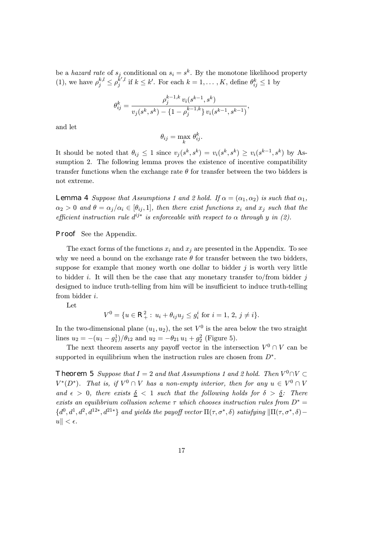be a hazard rate of  $s_j$  conditional on  $s_i = s^k$ . By the monotone likelihood property (1), we have  $\rho_j^{k,l} \leq \rho_j^{k',l}$  if  $k \leq k'$ . For each  $k = 1, \ldots, K$ , define  $\theta_{ij}^k \leq 1$  by

$$
\theta_{ij}^k = \frac{\rho_j^{k-1,k} v_i(s^{k-1}, s^k)}{v_j(s^k, s^k) - \{1 - \rho_j^{k-1,k}\} v_i(s^{k-1}, s^{k-1})},
$$

and let

$$
\theta_{ij} = \max_{k} \theta_{ij}^{k}.
$$

It should be noted that  $\theta_{ij} \leq 1$  since  $v_j(s^k, s^k) = v_i(s^k, s^k) \geq v_i(s^{k-1}, s^k)$  by Assumption 2. The following lemma proves the existence of incentive compatibility transfer functions when the exchange rate  $\theta$  for transfer between the two bidders is not extreme.

Lemma 4 Suppose that Assumptions 1 and 2 hold. If  $\alpha = (\alpha_1, \alpha_2)$  is such that  $\alpha_1$ ,  $\alpha_2 > 0$  and  $\theta = \alpha_i/\alpha_i \in [\theta_{ii}, 1]$ , then there exist functions  $x_i$  and  $x_j$  such that the efficient instruction rule  $d^{ij*}$  is enforceable with respect to  $\alpha$  through y in (2).

Proof See the Appendix.

The exact forms of the functions  $x_i$  and  $x_j$  are presented in the Appendix. To see why we need a bound on the exchange rate  $\theta$  for transfer between the two bidders, suppose for example that money worth one dollar to bidder  $j$  is worth very little to bidder i. It will then be the case that any monetary transfer to/from bidder  $j$ designed to induce truth-telling from him will be insufficient to induce truth-telling from bidder i.

Let

$$
V^{0} = \{ u \in \mathbb{R}_{+}^{2} : u_{i} + \theta_{ij} u_{j} \leq g_{i}^{i} \text{ for } i = 1, 2, j \neq i \}.
$$

In the two-dimensional plane  $(u_1, u_2)$ , the set  $V^0$  is the area below the two straight lines  $u_2 = -(u_1 - g_1^1)/\theta_{12}$  and  $u_2 = -\theta_{21} u_1 + g_2^2$  (Figure 5).

The next theorem asserts any payoff vector in the intersection  $V^0 \cap V$  can be supported in equilibrium when the instruction rules are chosen from  $D^*$ .

Theorem 5 Suppose that  $I = 2$  and that Assumptions 1 and 2 hold. Then  $V^0 \cap V \subset$  $V^*(D^*)$ . That is, if  $V^0 \cap V$  has a non-empty interior, then for any  $u \in V^0 \cap V$ and  $\epsilon > 0$ , there exists  $\delta$  < 1 such that the following holds for  $\delta > \delta$ : There exists an equilibrium collusion scheme  $\tau$  which chooses instruction rules from  $D^* =$  ${d^0, d^1, d^2, d^{12*}, d^{21*}}$  and yields the payoff vector  $\Pi(\tau, \sigma^*, \delta)$  satisfying  $\|\Pi(\tau, \sigma^*, \delta) |u\| < \epsilon.$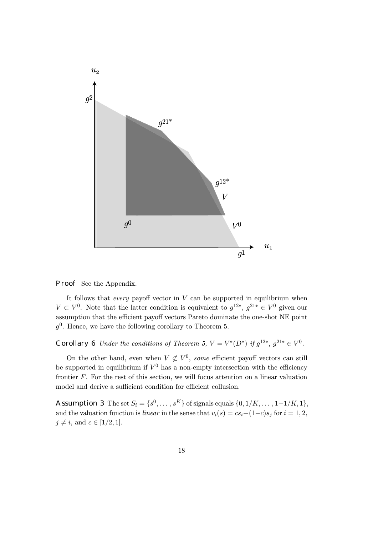

Proof See the Appendix.

It follows that *every* payoff vector in  $V$  can be supported in equilibrium when  $V \subset V^0$ . Note that the latter condition is equivalent to  $q^{12*}$ ,  $q^{21*} \in V^0$  given our assumption that the efficient payoff vectors Pareto dominate the one-shot NE point  $g^0$ . Hence, we have the following corollary to Theorem 5.

Corollary 6 Under the conditions of Theorem 5,  $V = V^*(D^*)$  if  $g^{12*}$ ,  $g^{21*} \in V^0$ .

On the other hand, even when  $V \not\subset V^0$ , some efficient payoff vectors can still be supported in equilibrium if  $V^0$  has a non-empty intersection with the efficiency frontier F. For the rest of this section, we will focus attention on a linear valuation model and derive a sufficient condition for efficient collusion.

Assumption 3 The set  $S_i = \{s^0, ..., s^K\}$  of signals equals  $\{0, 1/K, ..., 1-1/K, 1\}$ , and the valuation function is *linear* in the sense that  $v_i(s) = cs_i+(1-c)s_i$  for  $i = 1, 2$ ,  $j \neq i$ , and  $c \in [1/2, 1]$ .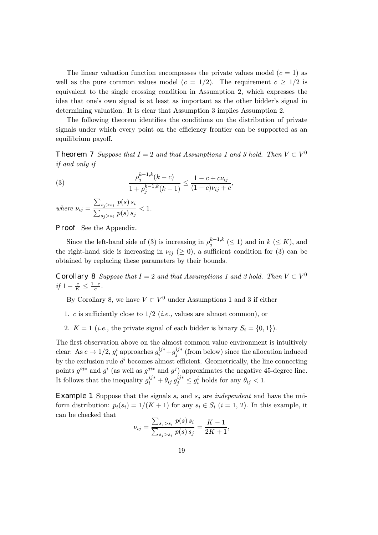The linear valuation function encompasses the private values model  $(c = 1)$  as well as the pure common values model  $(c = 1/2)$ . The requirement  $c \geq 1/2$  is equivalent to the single crossing condition in Assumption 2, which expresses the idea that one's own signal is at least as important as the other bidder's signal in determining valuation. It is clear that Assumption 3 implies Assumption 2.

The following theorem identifies the conditions on the distribution of private signals under which every point on the efficiency frontier can be supported as an equilibrium payoff.

Theorem 7 Suppose that  $I = 2$  and that Assumptions 1 and 3 hold. Then  $V \subset V^0$ if and only if

(3) 
$$
\frac{\rho_j^{k-1,k}(k-c)}{1+\rho_j^{k-1,k}(k-1)} \leq \frac{1-c+c\nu_{ij}}{(1-c)\nu_{ij}+c},
$$

where 
$$
\nu_{ij} = \frac{\sum_{s_j > s_i} p(s) s_i}{\sum_{s_j > s_i} p(s) s_j} < 1.
$$

Proof See the Appendix.

Since the left-hand side of (3) is increasing in  $\rho_j^{k-1,k}$  (≤ 1) and in  $k$  (≤ K), and the right-hand side is increasing in  $\nu_{ij}$  ( $\geq$  0), a sufficient condition for (3) can be obtained by replacing these parameters by their bounds.

Corollary 8 Suppose that  $I = 2$  and that Assumptions 1 and 3 hold. Then  $V \subset V^0$ if  $1-\frac{c}{K}\leq \frac{1-c}{c}$ .

By Corollary 8, we have  $V \subset V^0$  under Assumptions 1 and 3 if either

- 1. c is sufficiently close to  $1/2$  (*i.e.*, values are almost common), or
- 2.  $K = 1$  (*i.e.*, the private signal of each bidder is binary  $S_i = \{0, 1\}$ ).

The first observation above on the almost common value environment is intuitively clear: As  $c \to 1/2$ ,  $g_i^i$  approaches  $g_i^{ij*} + g_j^{ij*}$  (from below) since the allocation induced by the exclusion rule  $d^i$  becomes almost efficient. Geometrically, the line connecting points  $g^{ij*}$  and  $g^i$  (as well as  $g^{ji*}$  and  $g^j$ ) approximates the negative 45-degree line. It follows that the inequality  $g_i^{ij*} + \theta_{ij} g_j^{ij*} \leq g_i^i$  holds for any  $\theta_{ij} < 1$ .

Example 1 Suppose that the signals  $s_i$  and  $s_j$  are *independent* and have the uniform distribution:  $p_i(s_i)=1/(K+1)$  for any  $s_i \in S_i$   $(i = 1, 2)$ . In this example, it can be checked that

$$
\nu_{ij} = \frac{\sum_{s_j > s_i} p(s) s_i}{\sum_{s_j > s_i} p(s) s_j} = \frac{K - 1}{2K + 1},
$$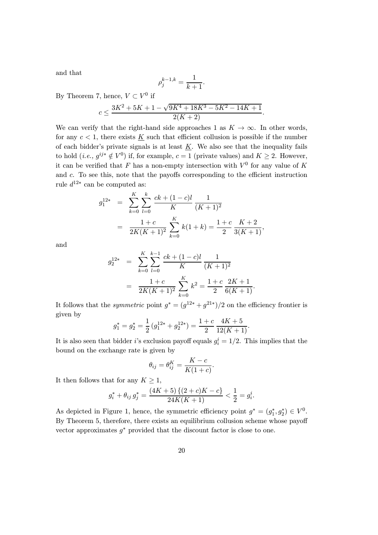and that

$$
\rho_j^{k-1,k} = \frac{1}{k+1}.
$$

By Theorem 7, hence,  $V \subset V^0$  if

$$
c\leq \frac{3K^2+5K+1-\sqrt{9K^4+18K^3-5K^2-14K+1}}{2(K+2)}.
$$

We can verify that the right-hand side approaches 1 as  $K \to \infty$ . In other words, for any  $c < 1$ , there exists K such that efficient collusion is possible if the number of each bidder's private signals is at least  $K$ . We also see that the inequality fails to hold (*i.e.*,  $g^{ij*} \notin V^0$ ) if, for example,  $c = 1$  (private values) and  $K \geq 2$ . However, it can be verified that F has a non-empty intersection with  $V^0$  for any value of K and c. To see this, note that the payoffs corresponding to the efficient instruction rule  $d^{12*}$  can be computed as:

$$
g_1^{12*} = \sum_{k=0}^K \sum_{l=0}^k \frac{ck + (1-c)l}{K} \frac{1}{(K+1)^2}
$$
  
= 
$$
\frac{1+c}{2K(K+1)^2} \sum_{k=0}^K k(1+k) = \frac{1+c}{2} \frac{K+2}{3(K+1)},
$$

and

$$
g_2^{12*} = \sum_{k=0}^K \sum_{l=0}^{k-1} \frac{ck + (1-c)l}{K} \frac{1}{(K+1)^2}
$$
  
= 
$$
\frac{1+c}{2K(K+1)^2} \sum_{k=0}^K k^2 = \frac{1+c}{2} \frac{2K+1}{6(K+1)}.
$$

It follows that the *symmetric* point  $g^* = (g^{12*} + g^{21*})/2$  on the efficiency frontier is given by

$$
g_1^* = g_2^* = \frac{1}{2} \left( g_1^{12*} + g_2^{12*} \right) = \frac{1+c}{2} \frac{4K+5}{12(K+1)}.
$$

It is also seen that bidder *i*'s exclusion payoff equals  $g_i^i = 1/2$ . This implies that the bound on the exchange rate is given by

$$
\theta_{ij} = \theta_{ij}^K = \frac{K - c}{K(1 + c)}.
$$

It then follows that for any  $K \geq 1$ ,

$$
g_i^* + \theta_{ij} g_j^* = \frac{(4K+5)\{(2+c)K-c\}}{24K(K+1)} < \frac{1}{2} = g_i^i.
$$

As depicted in Figure 1, hence, the symmetric efficiency point  $g^* = (g_1^*, g_2^*) \in V^0$ . By Theorem 5, therefore, there exists an equilibrium collusion scheme whose payoff vector approximates  $g^*$  provided that the discount factor is close to one.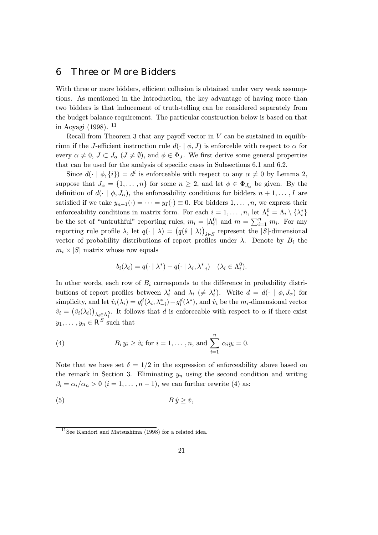#### 6 Three or More Bidders

With three or more bidders, efficient collusion is obtained under very weak assumptions. As mentioned in the Introduction, the key advantage of having more than two bidders is that inducement of truth-telling can be considered separately from the budget balance requirement. The particular construction below is based on that in Aoyagi (1998). <sup>11</sup>

Recall from Theorem 3 that any payoff vector in V can be sustained in equilibrium if the J-efficient instruction rule  $d(\cdot | \phi, J)$  is enforceble with respect to  $\alpha$  for every  $\alpha \neq 0$ ,  $J \subset J_{\alpha}$   $(J \neq \emptyset)$ , and  $\phi \in \Phi_J$ . We first derive some general properties that can be used for the analysis of specific cases in Subsections 6.1 and 6.2.

Since  $d(\cdot | \phi, \{i\}) = d^i$  is enforceable with respect to any  $\alpha \neq 0$  by Lemma 2, suppose that  $J_{\alpha} = \{1, \ldots, n\}$  for some  $n \geq 2$ , and let  $\phi \in \Phi_{J_{\alpha}}$  be given. By the definition of  $d(\cdot | \phi, J_\alpha)$ , the enforceability conditions for bidders  $n + 1, \ldots, I$  are satisfied if we take  $y_{n+1}(\cdot) = \cdots = y_I(\cdot) \equiv 0$ . For bidders  $1, \ldots, n$ , we express their enforceability conditions in matrix form. For each  $i = 1, ..., n$ , let  $\Lambda_i^0 = \Lambda_i \setminus {\lambda_i^*}$ be the set of "untruthful" reporting rules,  $m_i = |\Lambda_i^0|$  and  $m = \sum_{i=1}^n m_i$ . For any reporting rule profile  $\lambda$ , let  $q(\cdot | \lambda) = (q(\hat{s} | \lambda))_{\hat{s} \in S}$  represent the  $|S|$ -dimensional vector of probability distributions of report profiles under  $\lambda$ . Denote by  $B_i$  the  $m_i \times |S|$  matrix whose row equals

$$
b_i(\lambda_i) = q(\cdot \mid \lambda^*) - q(\cdot \mid \lambda_i, \lambda_{-i}^*) \quad (\lambda_i \in \Lambda_i^0).
$$

In other words, each row of  $B_i$  corresponds to the difference in probability distributions of report profiles between  $\lambda_i^*$  and  $\lambda_i \neq \lambda_i^*$ ). Write  $d = d(\cdot | \phi, J_\alpha)$  for simplicity, and let  $\hat{v}_i(\lambda_i) = g_i^d(\lambda_i, \lambda_{-i}^*) - g_i^d(\lambda^*)$ , and  $\hat{v}_i$  be the  $m_i$ -dimensional vector  $\hat{v}_i = (\hat{v}_i(\lambda_i))$  $\lambda_i \in \Lambda_i^0$ . It follows that d is enforceable with respect to  $\alpha$  if there exist  $y_1,\ldots,y_n\in\mathsf{R}^S$  such that

(4) 
$$
B_i y_i \geq \hat{v}_i \text{ for } i = 1, ..., n, \text{ and } \sum_{i=1}^n \alpha_i y_i = 0.
$$

Note that we have set  $\delta = 1/2$  in the expression of enforceability above based on the remark in Section 3. Eliminating  $y_n$  using the second condition and writing  $\beta_i = \alpha_i/\alpha_n > 0$   $(i = 1, \ldots, n-1)$ , we can further rewrite (4) as:

$$
(5) \t\t B\hat{y} \geq \hat{v},
$$

 $11$ See Kandori and Matsushima (1998) for a related idea.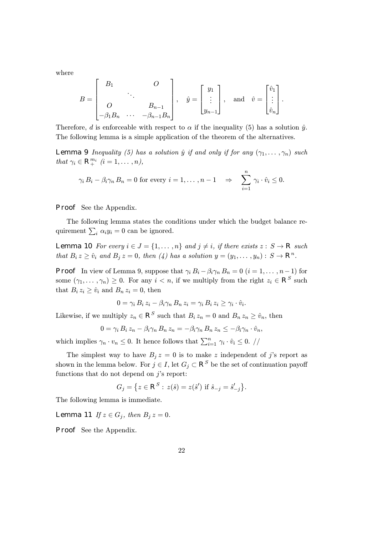where

$$
B = \begin{bmatrix} B_1 & & O \\ & \ddots & \\ O & & B_{n-1} \\ -\beta_1 B_n & \cdots & -\beta_{n-1} B_n \end{bmatrix}, \quad \hat{y} = \begin{bmatrix} y_1 \\ \vdots \\ y_{n-1} \end{bmatrix}, \quad \text{and} \quad \hat{v} = \begin{bmatrix} \hat{v}_1 \\ \vdots \\ \hat{v}_n \end{bmatrix}.
$$

Therefore, d is enforceable with respect to  $\alpha$  if the inequality (5) has a solution  $\hat{y}$ . The following lemma is a simple application of the theorem of the alternatives.

Lemma 9 Inequality (5) has a solution  $\hat{y}$  if and only if for any  $(\gamma_1,\ldots,\gamma_n)$  such that  $\gamma_i \in \mathsf{R}_+^{m_i}$   $(i = 1, \ldots, n)$ ,

$$
\gamma_i B_i - \beta_i \gamma_n B_n = 0 \text{ for every } i = 1, ..., n-1 \quad \Rightarrow \quad \sum_{i=1}^n \gamma_i \cdot \hat{v}_i \leq 0.
$$

Proof See the Appendix.

The following lemma states the conditions under which the budget balance requirement  $\sum_i \alpha_i y_i = 0$  can be ignored.

Lemma 10 For every  $i \in J = \{1, ..., n\}$  and  $j \neq i$ , if there exists  $z : S \rightarrow \mathbb{R}$  such that  $B_i z \geq \hat{v}_i$  and  $B_j z = 0$ , then (4) has a solution  $y = (y_1, \ldots, y_n) : S \to \mathbb{R}^n$ .

**Proof** In view of Lemma 9, suppose that  $\gamma_i B_i - \beta_i \gamma_n B_n = 0$   $(i = 1, \ldots, n-1)$  for some  $(\gamma_1,\ldots,\gamma_n)\geq 0$ . For any  $i\leq n$ , if we multiply from the right  $z_i\in\mathsf{R}^S$  such that  $B_i z_i \geq \hat{v}_i$  and  $B_n z_i = 0$ , then

$$
0=\gamma_i B_i z_i - \beta_i \gamma_n B_n z_i = \gamma_i B_i z_i \geq \gamma_i \cdot \hat{v}_i.
$$

Likewise, if we multiply  $z_n \in \mathbb{R}^S$  such that  $B_i z_n = 0$  and  $B_n z_n \geq \hat{v}_n$ , then

$$
0 = \gamma_i B_i z_n - \beta_i \gamma_n B_n z_n = -\beta_i \gamma_n B_n z_n \leq -\beta_i \gamma_n \cdot \hat{v}_n,
$$

which implies  $\gamma_n \cdot v_n \leq 0$ . It hence follows that  $\sum_{i=1}^n \gamma_i \cdot \hat{v}_i \leq 0$ . //

The simplest way to have  $B_j z = 0$  is to make z independent of j's report as shown in the lemma below. For  $j \in I$ , let  $G_j \subset \mathbb{R}^S$  be the set of continuation payoff functions that do not depend on  $j$ 's report:

$$
G_j = \{ z \in \mathbb{R}^S : z(\hat{s}) = z(\hat{s}') \text{ if } \hat{s}_{-j} = \hat{s}'_{-j} \}.
$$

The following lemma is immediate.

Lemma 11 If  $z \in G_i$ , then  $B_i z = 0$ .

Proof See the Appendix.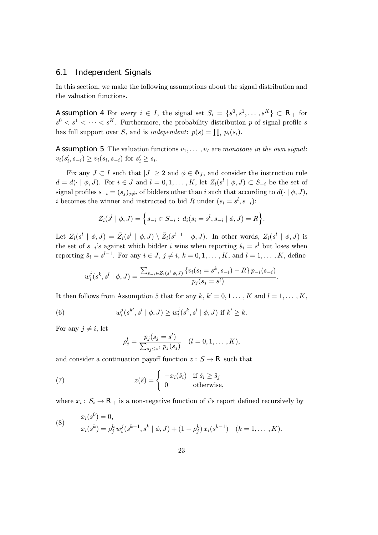#### 6.1 Independent Signals

In this section, we make the following assumptions about the signal distribution and the valuation functions.

Assumption 4 For every  $i \in I$ , the signal set  $S_i = \{s^0, s^1, \ldots, s^K\} \subset \mathsf{R}_+$  for  $s^0 < s^1 < \cdots < s^K$ . Furthermore, the probability distribution p of signal profile s has full support over S, and is *independent*:  $p(s) = \prod_i p_i(s_i)$ .

Assumption 5 The valuation functions  $v_1, \ldots, v_I$  are monotone in the own signal:  $v_i(s'_i, s_{-i}) \ge v_i(s_i, s_{-i})$  for  $s'_i \ge s_i$ .

Fix any  $J \subset I$  such that  $|J| \geq 2$  and  $\phi \in \Phi_J$ , and consider the instruction rule  $d = d(\cdot | \phi, J)$ . For  $i \in J$  and  $l = 0, 1, \ldots, K$ , let  $\overline{Z}_i(s^l | \phi, J) \subset S_{-i}$  be the set of signal profiles  $s_{-i} = (s_i)_{i \neq i}$  of bidders other than i such that according to  $d(\cdot | \phi, J)$ , i becomes the winner and instructed to bid R under  $(s_i = s^l, s_{-i})$ :

$$
\bar{Z}_i(s^l | \phi, J) = \left\{ s_{-i} \in S_{-i} : d_i(s_i = s^l, s_{-i} | \phi, J) = R \right\}.
$$

Let  $Z_i(s^l \mid \phi, J) = \bar{Z}_i(s^l \mid \phi, J) \setminus \bar{Z}_i(s^{l-1} \mid \phi, J)$ . In other words,  $Z_i(s^l \mid \phi, J)$  is the set of  $s_{-i}$ 's against which bidder i wins when reporting  $\hat{s}_i = s^l$  but loses when reporting  $\hat{s}_i = s^{l-1}$ . For any  $i \in J$ ,  $j \neq i$ ,  $k = 0, 1, \ldots, K$ , and  $l = 1, \ldots, K$ , define

$$
w_i^j(s^k, s^l \mid \phi, J) = \frac{\sum_{s_{-i} \in Z_i(s^l \mid \phi, J)} \{v_i(s_i = s^k, s_{-i}) - R\} p_{-i}(s_{-i})}{p_j(s_j = s^l)}.
$$

It then follows from Assumption 5 that for any  $k, k' = 0, 1, \ldots, K$  and  $l = 1, \ldots, K$ ,

(6) 
$$
w_i^j(s^{k'}, s^l | \phi, J) \geq w_i^j(s^k, s^l | \phi, J) \text{ if } k' \geq k.
$$

For any  $j \neq i$ , let

$$
\rho_j^l = \frac{p_j(s_j = s^l)}{\sum_{s_j \leq s^l} p_j(s_j)} \quad (l = 0, 1, \dots, K),
$$

and consider a continuation payoff function  $z : S \to \mathsf{R}$  such that

(7) 
$$
z(\hat{s}) = \begin{cases} -x_i(\hat{s}_i) & \text{if } \hat{s}_i \ge \hat{s}_j \\ 0 & \text{otherwise,} \end{cases}
$$

where  $x_i : S_i \to \mathsf{R}_+$  is a non-negative function of i's report defined recursively by

(8) 
$$
x_i(s^0) = 0,
$$
  
\n
$$
x_i(s^k) = \rho_j^k w_i^j(s^{k-1}, s^k | \phi, J) + (1 - \rho_j^k) x_i(s^{k-1}) \quad (k = 1, ..., K).
$$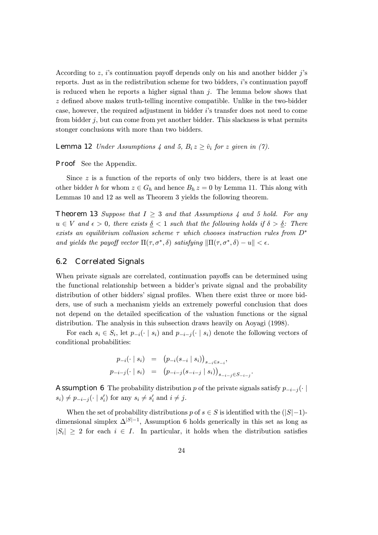According to z, i's continuation payoff depends only on his and another bidder j's reports. Just as in the redistribution scheme for two bidders,  $i$ 's continuation payoff is reduced when he reports a higher signal than  $j$ . The lemma below shows that z defined above makes truth-telling incentive compatible. Unlike in the two-bidder case, however, the required adjustment in bidder iís transfer does not need to come from bidder  $j$ , but can come from yet another bidder. This slackness is what permits stonger conclusions with more than two bidders.

Lemma 12 Under Assumptions 4 and 5,  $B_i z \geq \hat{v}_i$  for z given in (7).

Proof See the Appendix.

Since  $z$  is a function of the reports of only two bidders, there is at least one other bidder h for whom  $z \in G_h$  and hence  $B_h z = 0$  by Lemma 11. This along with Lemmas 10 and 12 as well as Theorem 3 yields the following theorem.

Theorem 13 Suppose that  $I \geq 3$  and that Assumptions 4 and 5 hold. For any  $u \in V$  and  $\epsilon > 0$ , there exists  $\underline{\delta} < 1$  such that the following holds if  $\delta > \underline{\delta}$ : There exists an equilibrium collusion scheme  $\tau$  which chooses instruction rules from  $D^*$ and yields the payoff vector  $\Pi(\tau, \sigma^*, \delta)$  satisfying  $\|\Pi(\tau, \sigma^*, \delta) - u\| < \epsilon$ .

#### 6.2 Correlated Signals

When private signals are correlated, continuation payoffs can be determined using the functional relationship between a bidder's private signal and the probability distribution of other bidders' signal profiles. When there exist three or more bidders, use of such a mechanism yields an extremely powerful conclusion that does not depend on the detailed specification of the valuation functions or the signal distribution. The analysis in this subsection draws heavily on Aoyagi (1998).

For each  $s_i \in S_i$ , let  $p_{-i}(\cdot | s_i)$  and  $p_{-i-i}(\cdot | s_i)$  denote the following vectors of conditional probabilities:

$$
p_{-i}(\cdot \mid s_i) = (p_{-i}(s_{-i} \mid s_i))_{s_{-i} \in s_{-i}},
$$
  

$$
p_{-i-j}(\cdot \mid s_i) = (p_{-i-j}(s_{-i-j} \mid s_i))_{s_{-i-j} \in S_{-i-j}}.
$$

Assumption 6 The probability distribution p of the private signals satisfy  $p_{-i-j}(\cdot |$  $s_i) \neq p_{-i-j}(\cdot | s'_i)$  for any  $s_i \neq s'_i$  and  $i \neq j$ .

When the set of probability distributions p of  $s \in S$  is identified with the  $(|S|-1)$ dimensional simplex  $\Delta^{|S|-1}$ , Assumption 6 holds generically in this set as long as  $|S_i| \geq 2$  for each  $i \in I$ . In particular, it holds when the distribution satisfies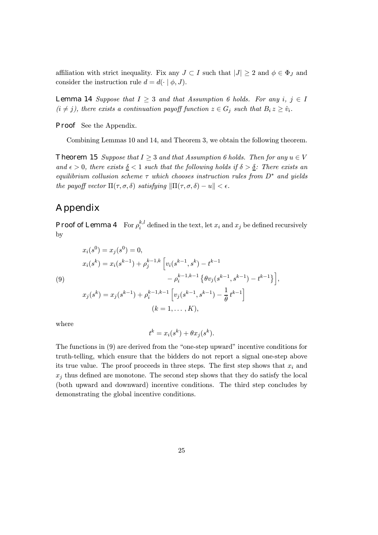affiliation with strict inequality. Fix any  $J \subset I$  such that  $|J| \geq 2$  and  $\phi \in \Phi_J$  and consider the instruction rule  $d = d(\cdot | \phi, J)$ .

Lemma 14 Suppose that  $I \geq 3$  and that Assumption 6 holds. For any  $i, j \in I$  $(i \neq j)$ , there exists a continuation payoff function  $z \in G_i$  such that  $B_i z \geq \hat{v}_i$ .

Proof See the Appendix.

Combining Lemmas 10 and 14, and Theorem 3, we obtain the following theorem.

Theorem 15 Suppose that  $I \geq 3$  and that Assumption 6 holds. Then for any  $u \in V$ and  $\epsilon > 0$ , there exists  $\delta < 1$  such that the following holds if  $\delta > \delta$ : There exists an equilibrium collusion scheme  $\tau$  which chooses instruction rules from  $D^*$  and yields the payoff vector  $\Pi(\tau, \sigma, \delta)$  satisfying  $\|\Pi(\tau, \sigma, \delta) - u\| < \epsilon$ .

## Appendix

Proof of Lemma 4 For  $\rho_i^{k,l}$  defined in the text, let  $x_i$  and  $x_j$  be defined recursively by

(9)  
\n
$$
x_i(s^0) = x_j(s^0) = 0,
$$
\n
$$
x_i(s^k) = x_i(s^{k-1}) + \rho_j^{k-1,k} \left[ v_i(s^{k-1}, s^k) - t^{k-1} - \rho_i^{k-1,k-1} \left\{ \theta v_j(s^{k-1}, s^{k-1}) - t^{k-1} \right\} \right],
$$
\n
$$
x_j(s^k) = x_j(s^{k-1}) + \rho_i^{k-1,k-1} \left[ v_j(s^{k-1}, s^{k-1}) - \frac{1}{\theta} t^{k-1} \right]
$$
\n
$$
(k = 1, ..., K),
$$

where

$$
t^k = x_i(s^k) + \theta x_j(s^k).
$$

The functions in  $(9)$  are derived from the "one-step upward" incentive conditions for truth-telling, which ensure that the bidders do not report a signal one-step above its true value. The proof proceeds in three steps. The first step shows that  $x_i$  and  $x_i$  thus defined are monotone. The second step shows that they do satisfy the local (both upward and downward) incentive conditions. The third step concludes by demonstrating the global incentive conditions.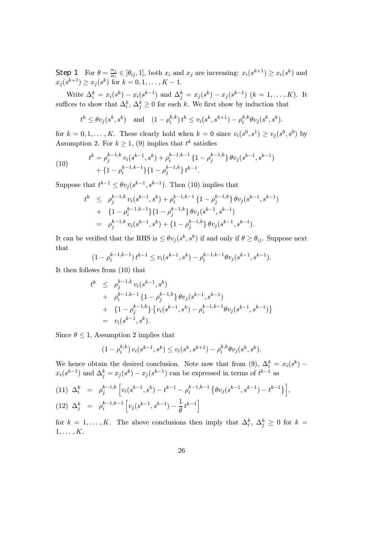Step 1 For  $\theta = \frac{\alpha_j}{\alpha_i} \in [\theta_{ij}, 1]$ , both  $x_i$  and  $x_j$  are increasing:  $x_i(s^{k+1}) \ge x_i(s^k)$  and  $x_j(s^{k+1}) \ge x_j(s^k)$  for  $k = 0, 1, ..., K - 1$ .

Write  $\Delta_i^k = x_i(s^k) - x_i(s^{k-1})$  and  $\Delta_j^k = x_j(s^k) - x_j(s^{k-1})$   $(k = 1, ..., K)$ . It suffices to show that  $\Delta_i^k$ ,  $\Delta_j^k \geq 0$  for each k. We first show by induction that

$$
t^k \leq \theta v_j(s^k, s^k)
$$
 and  $(1 - \rho_i^{k,k}) t^k \leq v_i(s^k, s^{k+1}) - \rho_i^{k,k} \theta v_j(s^k, s^k)$ .

for  $k = 0, 1, \ldots, K$ . These clearly hold when  $k = 0$  since  $v_i(s^0, s^1) \ge v_j(s^0, s^0)$  by Assumption 2. For  $k \geq 1$ , (9) implies that  $t^k$  satisfies

(10) 
$$
t^{k} = \rho_{j}^{k-1,k} v_{i}(s^{k-1}, s^{k}) + \rho_{i}^{k-1,k-1} \{1 - \rho_{j}^{k-1,k}\} \theta v_{j}(s^{k-1}, s^{k-1}) + \{1 - \rho_{i}^{k-1,k-1}\} \{1 - \rho_{j}^{k-1,k}\} t^{k-1}.
$$

Suppose that  $t^{k-1} \leq \theta v_j(s^{k-1}, s^{k-1})$ . Then (10) implies that

$$
t^{k} \leq \rho_j^{k-1,k} v_i(s^{k-1}, s^k) + \rho_i^{k-1,k-1} \{1 - \rho_j^{k-1,k}\} \theta v_j(s^{k-1}, s^{k-1})
$$
  
+ 
$$
\{1 - \rho_i^{k-1,k-1}\} \{1 - \rho_j^{k-1,k}\} \theta v_j(s^{k-1}, s^{k-1})
$$
  
= 
$$
\rho_j^{k-1,k} v_i(s^{k-1}, s^k) + \{1 - \rho_j^{k-1,k}\} \theta v_j(s^{k-1}, s^{k-1}).
$$

It can be verified that the RHS is  $\leq \theta v_j(s^k, s^k)$  if and only if  $\theta \geq \theta_{ij}$ . Suppose next that

$$
(1 - \rho_i^{k-1,k-1}) t^{k-1} \le v_i(s^{k-1}, s^k) - \rho_i^{k-1,k-1} \theta v_j(s^{k-1}, s^{k-1}).
$$

It then follows from (10) that

$$
t^{k} \leq \rho_{j}^{k-1,k} v_{i}(s^{k-1}, s^{k})
$$
  
+  $\rho_{i}^{k-1,k-1} \{1 - \rho_{j}^{k-1,k}\} \theta v_{j}(s^{k-1}, s^{k-1})$   
+  $\{1 - \rho_{j}^{k-1,k}\} \{v_{i}(s^{k-1}, s^{k}) - \rho_{i}^{k-1,k-1} \theta v_{j}(s^{k-1}, s^{k-1})\}$   
=  $v_{i}(s^{k-1}, s^{k}).$ 

Since  $\theta \leq 1$ , Assumption 2 implies that

$$
(1 - \rho_i^{k,k}) v_i(s^{k-1}, s^k) \le v_i(s^k, s^{k+1}) - \rho_i^{k,k} \theta v_j(s^k, s^k).
$$

We hence obtain the desired conclusion. Note now that from (9),  $\Delta_i^k = x_i(s^k)$  –  $x_i(s^{k-1})$  and  $\Delta_j^k = x_j(s^k) - x_j(s^{k-1})$  can be expressed in terms of  $t^{k-1}$  as

$$
(11) \ \Delta_i^k = \rho_j^{k-1,k} \left[ v_i(s^{k-1}, s^k) - t^{k-1} - \rho_i^{k-1,k-1} \left\{ \theta v_j(s^{k-1}, s^{k-1}) - t^{k-1} \right\} \right],
$$
  

$$
(12) \ \Delta_j^k = \rho_i^{k-1,k-1} \left[ v_j(s^{k-1}, s^{k-1}) - \frac{1}{\theta} t^{k-1} \right]
$$

for  $k = 1, ..., K$ . The above conclusions then imply that  $\Delta_i^k$ ,  $\Delta_j^k \geq 0$  for  $k =$  $1,\ldots,K$ .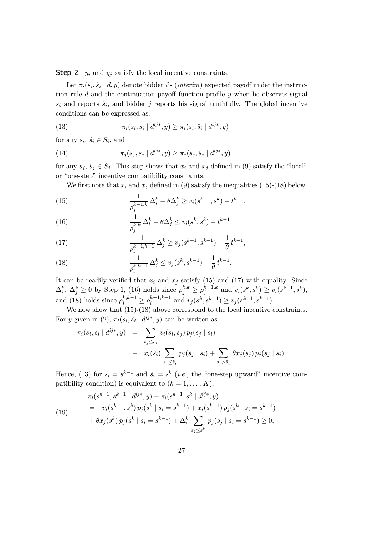Step 2  $y_i$  and  $y_j$  satisfy the local incentive constraints.

Let  $\pi_i(s_i, \hat{s}_i \mid d, y)$  denote bidder is (interim) expected payoff under the instruction rule  $d$  and the continuation payoff function profile  $y$  when he observes signal  $s_i$  and reports  $\hat{s}_i$ , and bidder j reports his signal truthfully. The global incentive conditions can be expressed as:

(13) 
$$
\pi_i(s_i, s_i \mid d^{ij*}, y) \geq \pi_i(s_i, \hat{s}_i \mid d^{ij*}, y)
$$

for any  $s_i, \hat{s}_i \in S_i$ , and

(14) 
$$
\pi_j(s_j, s_j \mid d^{ij*}, y) \geq \pi_j(s_j, \hat{s}_j \mid d^{ij*}, y)
$$

for any  $s_i, \hat{s}_i \in S_i$ . This step shows that  $x_i$  and  $x_j$  defined in (9) satisfy the "local" or "one-step" incentive compatibility constraints.

We first note that  $x_i$  and  $x_j$  defined in (9) satisfy the inequalities (15)-(18) below.

(15) 
$$
\frac{1}{\rho_j^{k-1,k}} \Delta_i^k + \theta \Delta_j^k \ge v_i(s^{k-1}, s^k) - t^{k-1},
$$

(16) 
$$
\frac{1}{\rho_j^{k,k}} \Delta_i^k + \theta \Delta_j^k \le v_i(s^k, s^k) - t^{k-1},
$$

(17) 
$$
\frac{1}{\rho_i^{k-1,k-1}} \Delta_j^k \ge v_j(s^{k-1}, s^{k-1}) - \frac{1}{\theta} t^{k-1},
$$

(18) 
$$
\frac{1}{\rho_i^{k,k-1}} \Delta_j^k \le v_j(s^k, s^{k-1}) - \frac{1}{\theta} t^{k-1}.
$$

It can be readily verified that  $x_i$  and  $x_j$  satisfy (15) and (17) with equality. Since  $\Delta_i^k$ ,  $\Delta_j^k \geq 0$  by Step 1, (16) holds since  $\rho_j^{k,k} \geq \rho_j^{k-1,k}$  and  $v_i(s^k, s^k) \geq v_i(s^{k-1}, s^k)$ , and (18) holds since  $\rho_i^{k,k-1} \ge \rho_i^{k-1,k-1}$  and  $v_j(s^k, s^{k-1}) \ge v_j(s^{k-1}, s^{k-1})$ .

We now show that  $(15)-(18)$  above correspond to the local incentive constraints. For y given in (2),  $\pi_i(s_i, \hat{s}_i | d^{ij*}, y)$  can be written as

$$
\pi_i(s_i, \hat{s}_i \mid d^{ij*}, y) = \sum_{s_j \leq \hat{s}_i} v_i(s_i, s_j) p_j(s_j \mid s_i) \n- x_i(\hat{s}_i) \sum_{s_j \leq \hat{s}_i} p_j(s_j \mid s_i) + \sum_{s_j > \hat{s}_i} \theta x_j(s_j) p_j(s_j \mid s_i).
$$

Hence, (13) for  $s_i = s^{k-1}$  and  $\hat{s}_i = s^k$  (*i.e.*, the "one-step upward" incentive compatibility condition) is equivalent to  $(k = 1, \ldots, K)$ :

(19)  
\n
$$
\pi_i(s^{k-1}, s^{k-1} | d^{ij*}, y) - \pi_i(s^{k-1}, s^k | d^{ij*}, y)
$$
\n
$$
= -v_i(s^{k-1}, s^k) p_j(s^k | s_i = s^{k-1}) + x_i(s^{k-1}) p_j(s^k | s_i = s^{k-1})
$$
\n
$$
+ \theta x_j(s^k) p_j(s^k | s_i = s^{k-1}) + \Delta_i^k \sum_{s_j \le s^k} p_j(s_j | s_i = s^{k-1}) \ge 0,
$$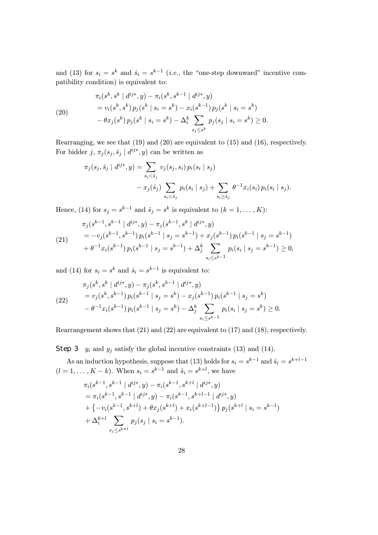and (13) for  $s_i = s^k$  and  $\hat{s}_i = s^{k-1}$  (*i.e.*, the "one-step downward" incentive compatibility condition) is equivalent to:

(20)  
\n
$$
\pi_i(s^k, s^k \mid d^{ij*}, y) - \pi_i(s^k, s^{k-1} \mid d^{ij*}, y)
$$
\n
$$
= v_i(s^k, s^k) p_j(s^k \mid s_i = s^k) - x_i(s^{k-1}) p_j(s^k \mid s_i = s^k)
$$
\n
$$
- \theta x_j(s^k) p_j(s^k \mid s_i = s^k) - \Delta_i^k \sum_{s_j \le s^k} p_j(s_j \mid s_i = s^k) \ge 0.
$$

Rearranging, we see that (19) and (20) are equivalent to (15) and (16), respectively. For bidder j,  $\pi_j(s_j, \hat{s}_j \mid d^{ij*}, y)$  can be written as

$$
\pi_j(s_j, \hat{s}_j \mid d^{ij*}, y) = \sum_{s_i < \hat{s}_j} v_j(s_j, s_i) p_i(s_i \mid s_j) \n- x_j(\hat{s}_j) \sum_{s_i < \hat{s}_j} p_i(s_i \mid s_j) + \sum_{s_i \geq \hat{s}_j} \theta^{-1} x_i(s_i) p_i(s_i \mid s_j).
$$

Hence, (14) for  $s_j = s^{k-1}$  and  $\hat{s}_j = s^k$  is equivalent to  $(k = 1, ..., K)$ :

$$
\pi_j(s^{k-1}, s^{k-1} | d^{ij*}, y) - \pi_j(s^{k-1}, s^k | d^{ij*}, y)
$$
\n
$$
= -v_j(s^{k-1}, s^{k-1}) p_i(s^{k-1} | s_j = s^{k-1}) + x_j(s^{k-1}) p_i(s^{k-1} | s_j = s^{k-1})
$$
\n
$$
+ \theta^{-1} x_i(s^{k-1}) p_i(s^{k-1} | s_j = s^{k-1}) + \Delta_j^k \sum_{s_i \le s^{k-1}} p_i(s_i | s_j = s^{k-1}) \ge 0,
$$

and (14) for  $s_i = s^k$  and  $\hat{s}_i = s^{k-1}$  is equivalent to:

$$
\pi_j(s^k, s^k \mid d^{ij*}, y) - \pi_j(s^k, s^{k-1} \mid d^{ij*}, y)
$$
\n
$$
= v_j(s^k, s^{k-1}) p_i(s^{k-1} \mid s_j = s^k) - x_j(s^{k-1}) p_i(s^{k-1} \mid s_j = s^k)
$$
\n
$$
- \theta^{-1} x_i(s^{k-1}) p_i(s^{k-1} \mid s_j = s^k) - \Delta_j^k \sum_{s_i \le s^{k-1}} p_i(s_i \mid s_j = s^k) \ge 0.
$$

Rearrangement shows that (21) and (22) are equivalent to (17) and (18), respectively.

Step 3  $y_i$  and  $y_j$  satisfy the global incentive constraints (13) and (14).

As an induction hypothesis, suppose that (13) holds for  $s_i = s^{k-1}$  and  $\hat{s}_i = s^{k+l-1}$  $(l = 1, ..., K - k)$ . When  $s_i = s^{k-1}$  and  $\hat{s}_i = s^{k+l}$ , we have

$$
\pi_i(s^{k-1}, s^{k-1} | d^{ij*}, y) - \pi_i(s^{k-1}, s^{k+l} | d^{ij*}, y)
$$
\n
$$
= \pi_i(s^{k-1}, s^{k-1} | d^{ij*}, y) - \pi_i(s^{k-1}, s^{k+l-1} | d^{ij*}, y)
$$
\n
$$
+ \{-v_i(s^{k-1}, s^{k+l}) + \theta x_j(s^{k+l}) + x_i(s^{k+l-1})\} p_j(s^{k+l} | s_i = s^{k-1})
$$
\n
$$
+ \Delta_i^{k+l} \sum_{s_j \le s^{k+l}} p_j(s_j | s_i = s^{k-1}).
$$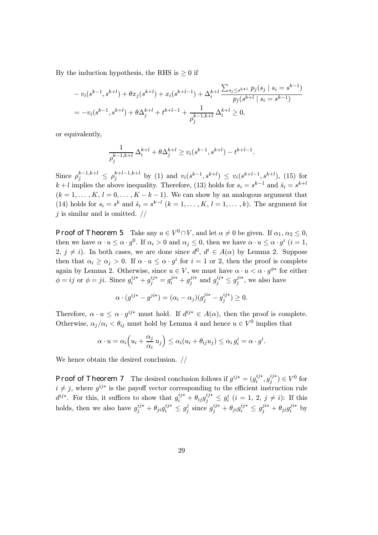By the induction hypothesis, the RHS is  $> 0$  if

$$
-v_i(s^{k-1}, s^{k+l}) + \theta x_j(s^{k+l}) + x_i(s^{k+l-1}) + \Delta_i^{k+l} \frac{\sum_{s_j \leq s^{k+l}} p_j(s_j \mid s_i = s^{k-1})}{p_j(s^{k+l} \mid s_i = s^{k-1})}
$$
  
=  $-v_i(s^{k-1}, s^{k+l}) + \theta \Delta_j^{k+l} + t^{k+l-1} + \frac{1}{\rho_j^{k-1,k+l}} \Delta_i^{k+l} \geq 0,$ 

or equivalently,

$$
\frac{1}{\rho_j^{k-1,k+l}} \, \Delta_i^{k+l} + \theta \Delta_j^{k+l} \ge v_i(s^{k-1}, s^{k+l}) - t^{k+l-1}.
$$

Since  $\rho_j^{k-1,k+l} \leq \rho_j^{k+l-1,k+l}$  by (1) and  $v_i(s^{k-1}, s^{k+l}) \leq v_i(s^{k+l-1}, s^{k+l})$ , (15) for  $k+l$  implies the above inequality. Therefore, (13) holds for  $s_i = s^{k-1}$  and  $\hat{s}_i = s^{k+l}$  $(k = 1, \ldots, K, l = 0, \ldots, K - k - 1)$ . We can show by an analogous argument that (14) holds for  $s_i = s^k$  and  $\hat{s}_i = s^{k-l}$   $(k = 1, \ldots, K, l = 1, \ldots, k)$ . The argument for  $j$  is similar and is omitted.  $//$ 

Proof of Theorem 5 Take any  $u \in V^0 \cap V$ , and let  $\alpha \neq 0$  be given. If  $\alpha_1, \alpha_2 \leq 0$ , then we have  $\alpha \cdot u \leq \alpha \cdot g^0$ . If  $\alpha_i > 0$  and  $\alpha_j \leq 0$ , then we have  $\alpha \cdot u \leq \alpha \cdot g^i$   $(i = 1,$ 2,  $j \neq i$ ). In both cases, we are done since  $d^0$ ,  $d^i \in A(\alpha)$  by Lemma 2. Suppose then that  $\alpha_i \geq \alpha_j > 0$ . If  $\alpha \cdot u \leq \alpha \cdot g^i$  for  $i = 1$  or 2, then the proof is complete again by Lemma 2. Otherwise, since  $u \in V$ , we must have  $\alpha \cdot u < \alpha \cdot g^{\phi^*}$  for either  $\phi = ij$  or  $\phi = ji$ . Since  $g_i^{ij*} + g_j^{ij*} = g_i^{ji*} + g_j^{ji*}$  and  $g_j^{ij*} \leq g_j^{ji*}$ , we also have

$$
\alpha \cdot (g^{ij*} - g^{ji*}) = (\alpha_i - \alpha_j)(g_j^{ji*} - g_j^{ij*}) \ge 0.
$$

Therefore,  $\alpha \cdot u \leq \alpha \cdot g^{ij*}$  must hold. If  $d^{ij*} \in A(\alpha)$ , then the proof is complete. Otherwise,  $\alpha_j/\alpha_i < \theta_{ij}$  must hold by Lemma 4 and hence  $u \in V^0$  implies that

$$
\alpha \cdot u = \alpha_i \left( u_i + \frac{\alpha_j}{\alpha_i} u_j \right) \leq \alpha_i (u_i + \theta_{ij} u_j) \leq \alpha_i g_i^i = \alpha \cdot g^i.
$$

We hence obtain the desired conclusion. //

Proof of Theorem 7 The desired conclusion follows if  $g^{ij*} = (g_i^{ij*}, g_j^{ij*}) \in V^0$  for  $i \neq j$ , where  $g^{ij*}$  is the payoff vector corresponding to the efficient instruction rule  $d^{ij*}$ . For this, it suffices to show that  $g_i^{ij*} + \theta_{ij}g_j^{ij*} \leq g_i^i$   $(i = 1, 2, j \neq i)$ : If this holds, then we also have  $g_j^{ij*} + \theta_{ji} g_i^{ij*} \leq g_j^j$  since  $g_j^{ij*} + \theta_{ji} g_i^{ij*} \leq g_j^{ji*} + \theta_{ji} g_i^{ji*}$  by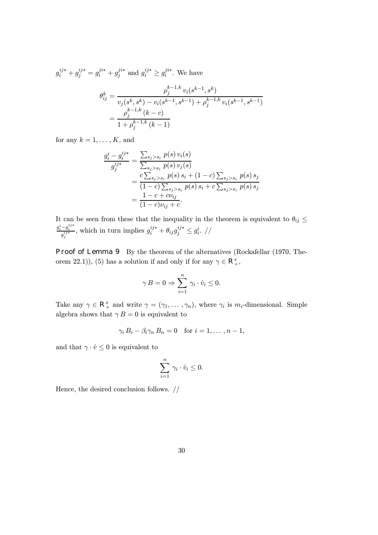$$
g_i^{ij*} + g_j^{ij*} = g_i^{ji*} + g_j^{ji*} \text{ and } g_i^{ij*} \ge g_i^{ji*}. \text{ We have}
$$

$$
\theta_{ij}^k = \frac{\rho_j^{k-1,k} v_i(s^{k-1}, s^k)}{v_j(s^k, s^k) - v_i(s^{k-1}, s^{k-1}) + \rho_j^{k-1,k} v_i(s^{k-1}, s^{k-1})}
$$

$$
= \frac{\rho_j^{k-1,k} (k-c)}{1 + \rho_j^{k-1,k} (k-1)}
$$

for any  $k = 1, \ldots, K$ , and

$$
\frac{g_i^i - g_i^{ij*}}{g_j^{ij*}} = \frac{\sum_{s_j > s_i} p(s) v_i(s)}{\sum_{s_j > s_i} p(s) v_j(s)} \n= \frac{c \sum_{s_j > s_i} p(s) s_i + (1 - c) \sum_{s_j > s_i} p(s) s_j}{(1 - c) \sum_{s_j > s_i} p(s) s_i + c \sum_{s_j > s_i} p(s) s_j} \n= \frac{1 - c + c v_{ij}}{(1 - c) v_{ij} + c}.
$$

It can be seen from these that the inequality in the theorem is equivalent to  $\theta_{ij} \leq \frac{g_i^i - g_i^{ij*}}{g_j^{ij*}}$ , which in turn implies  $g_i^{ij*} + \theta_{ij} g_j^{ij*} \leq g_i^i$ . //

Proof of Lemma 9 By the theorem of the alternatives (Rockafellar (1970, Theorem 22.1)), (5) has a solution if and only if for any  $\gamma \in \mathsf{R}^s_+$ ,

$$
\gamma B = 0 \Rightarrow \sum_{i=1}^{n} \gamma_i \cdot \hat{v}_i \leq 0.
$$

Take any  $\gamma \in \mathsf{R}_{+}^{s}$  and write  $\gamma = (\gamma_1, \ldots, \gamma_n)$ , where  $\gamma_i$  is  $m_i$ -dimensional. Simple algebra shows that  $\gamma B = 0$  is equivalent to

$$
\gamma_i B_i - \beta_i \gamma_n B_n = 0 \quad \text{for } i = 1, \dots, n-1,
$$

and that  $\gamma \cdot \hat{v} \leq 0$  is equivalent to

$$
\sum_{i=1}^n \gamma_i \cdot \hat{v}_i \leq 0.
$$

Hence, the desired conclusion follows. //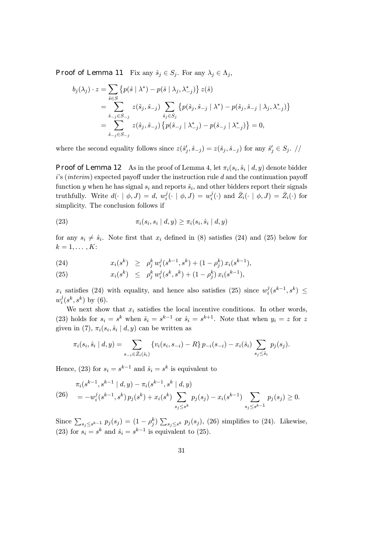Proof of Lemma 11 Fix any  $\hat{s}_j \in S_j$ . For any  $\lambda_j \in \Lambda_j$ ,

$$
b_j(\lambda_j) \cdot z = \sum_{\hat{s} \in S} \{ p(\hat{s} \mid \lambda^*) - p(\hat{s} \mid \lambda_j, \lambda^*_{-j}) \} z(\hat{s})
$$
  
= 
$$
\sum_{\hat{s}_{-j} \in S_{-j}} z(\hat{s}_j, \hat{s}_{-j}) \sum_{\hat{s}_j \in S_j} \{ p(\hat{s}_j, \hat{s}_{-j} \mid \lambda^*) - p(\hat{s}_j, \hat{s}_{-j} \mid \lambda_j, \lambda^*_{-j}) \}
$$
  
= 
$$
\sum_{\hat{s}_{-j} \in S_{-j}} z(\hat{s}_j, \hat{s}_{-j}) \{ p(\hat{s}_{-j} \mid \lambda^*_{-j}) - p(\hat{s}_{-j} \mid \lambda^*_{-j}) \} = 0,
$$

where the second equality follows since  $z(\hat{s}'_j, \hat{s}_{-j}) = z(\hat{s}_j, \hat{s}_{-j})$  for any  $\hat{s}'_j \in S_j$ . //

Proof of Lemma 12 As in the proof of Lemma 4, let  $\pi_i(s_i, \hat{s}_i | d, y)$  denote bidder  $i$ 's (interim) expected payoff under the instruction rule  $d$  and the continuation payoff function y when he has signal  $s_i$  and reports  $\hat{s}_i$ , and other bidders report their signals truthfully. Write  $d(\cdot | \phi, J) = d$ ,  $w_i^j(\cdot | \phi, J) = w_i^j(\cdot)$  and  $\bar{Z}_i(\cdot | \phi, J) = \bar{Z}_i(\cdot)$  for simplicity. The conclusion follows if

(23) 
$$
\pi_i(s_i, s_i \mid d, y) \geq \pi_i(s_i, \hat{s}_i \mid d, y)
$$

for any  $s_i \neq \hat{s}_i$ . Note first that  $x_i$  defined in (8) satisfies (24) and (25) below for  $k=1,\ldots,K$ :

(24) 
$$
x_i(s^k) \geq \rho_j^k w_i^j(s^{k-1}, s^k) + (1 - \rho_j^k) x_i(s^{k-1}),
$$

(25) 
$$
x_i(s^k) \leq \rho_j^k w_i^j(s^k, s^k) + (1 - \rho_j^k) x_i(s^{k-1}),
$$

 $x_i$  satisfies (24) with equality, and hence also satisfies (25) since  $w_i^j(s^{k-1}, s^k) \leq$  $w_i^j(s^k, s^k)$  by (6).

We next show that  $x_i$  satisfies the local incentive conditions. In other words, (23) holds for  $s_i = s^k$  when  $\hat{s}_i = s^{k-1}$  or  $\hat{s}_i = s^{k+1}$ . Note that when  $y_i = z$  for z given in (7),  $\pi_i(s_i, \hat{s}_i | d, y)$  can be written as

$$
\pi_i(s_i, \hat{s}_i \mid d, y) = \sum_{s_{-i} \in \bar{Z}_i(\hat{s}_i)} \{v_i(s_i, s_{-i}) - R\} \, p_{-i}(s_{-i}) - x_i(\hat{s}_i) \sum_{s_j \leq \hat{s}_i} p_j(s_j).
$$

Hence, (23) for  $s_i = s^{k-1}$  and  $\hat{s}_i = s^k$  is equivalent to

$$
\pi_i(s^{k-1}, s^{k-1} | d, y) - \pi_i(s^{k-1}, s^k | d, y)
$$
\n
$$
(26) \quad = -w_i^j(s^{k-1}, s^k) \, p_j(s^k) + x_i(s^k) \sum_{s_j \le s^k} p_j(s_j) - x_i(s^{k-1}) \sum_{s_j \le s^{k-1}} p_j(s_j) \ge 0.
$$

Since  $\sum_{s_j\leq s^{k-1}} p_j(s_j) = (1-\rho_j^k) \sum_{s_j\leq s^k} p_j(s_j)$ , (26) simplifies to (24). Likewise, (23) for  $s_i = s^k$  and  $\hat{s}_i = s^{k-1}$  is equivalent to (25).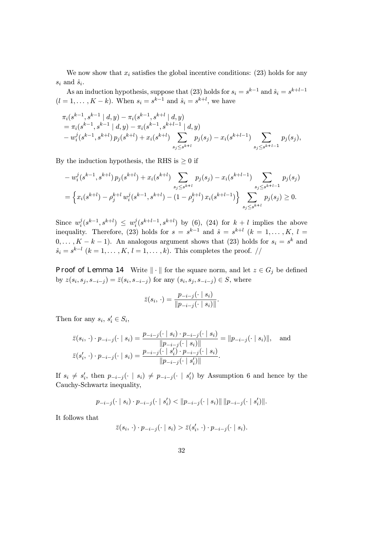We now show that  $x_i$  satisfies the global incentive conditions: (23) holds for any  $s_i$  and  $\hat{s}_i$ .

As an induction hypothesis, suppose that (23) holds for  $s_i = s^{k-1}$  and  $\hat{s}_i = s^{k+l-1}$  $(l = 1, ..., K - k)$ . When  $s_i = s^{k-1}$  and  $\hat{s}_i = s^{k+l}$ , we have

$$
\pi_i(s^{k-1}, s^{k-1} | d, y) - \pi_i(s^{k-1}, s^{k+l} | d, y) \n= \pi_i(s^{k-1}, s^{k-1} | d, y) - \pi_i(s^{k-1}, s^{k+l-1} | d, y) \n- w_i^j(s^{k-1}, s^{k+l}) p_j(s^{k+l}) + x_i(s^{k+l}) \sum_{s_j \le s^{k+l}} p_j(s_j) - x_i(s^{k+l-1}) \sum_{s_j \le s^{k+l-1}} p_j(s_j),
$$

By the induction hypothesis, the RHS is  $\geq 0$  if

$$
- w_i^j (s^{k-1}, s^{k+l}) p_j (s^{k+l}) + x_i (s^{k+l}) \sum_{s_j \le s^{k+l}} p_j(s_j) - x_i (s^{k+l-1}) \sum_{s_j \le s^{k+l-1}} p_j(s_j)
$$
  
=  $\left\{ x_i (s^{k+l}) - \rho_j^{k+l} w_i^j (s^{k-1}, s^{k+l}) - (1 - \rho_j^{k+l}) x_i (s^{k+l-1}) \right\} \sum_{s_j \le s^{k+l}} p_j(s_j) \ge 0.$ 

Since  $w_i^j(s^{k-1}, s^{k+l}) \le w_i^j(s^{k+l-1}, s^{k+l})$  by (6), (24) for  $k+l$  implies the above inequality. Therefore, (23) holds for  $s = s^{k-1}$  and  $\hat{s} = s^{k+l}$   $(k = 1, ..., K, l =$  $0, \ldots, K - k - 1$ . An analogous argument shows that (23) holds for  $s_i = s^k$  and  $\hat{s}_i = s^{k-l}$   $(k = 1, \ldots, K, l = 1, \ldots, k)$  . This completes the proof. //

Proof of Lemma 14 Write  $\|\cdot\|$  for the square norm, and let  $z \in G_j$  be defined by  $z(s_i, s_j, s_{-i-j}) = \bar{z}(s_i, s_{-i-j})$  for any  $(s_i, s_j, s_{-i-j}) \in S$ , where

$$
\bar{z}(s_i, \cdot) = \frac{p_{-i-j}(\cdot \mid s_i)}{\|p_{-i-j}(\cdot \mid s_i)\|}.
$$

Then for any  $s_i, s'_i \in S_i$ ,

$$
\bar{z}(s_i, \cdot) \cdot p_{-i-j}(\cdot \mid s_i) = \frac{p_{-i-j}(\cdot \mid s_i) \cdot p_{-i-j}(\cdot \mid s_i)}{\|p_{-i-j}(\cdot \mid s_i)\|} = \|p_{-i-j}(\cdot \mid s_i)\|, \text{ and}
$$
  

$$
\bar{z}(s'_i, \cdot) \cdot p_{-i-j}(\cdot \mid s_i) = \frac{p_{-i-j}(\cdot \mid s'_i) \cdot p_{-i-j}(\cdot \mid s_i)}{\|p_{-i-j}(\cdot \mid s'_i)\|}.
$$

If  $s_i \neq s'_i$ , then  $p_{-i-j}(\cdot | s_i) \neq p_{-i-j}(\cdot | s'_i)$  by Assumption 6 and hence by the Cauchy-Schwartz inequality,

$$
p_{-i-j}(\cdot \mid s_i) \cdot p_{-i-j}(\cdot \mid s'_i) < ||p_{-i-j}(\cdot \mid s_i)|| \, ||p_{-i-j}(\cdot \mid s'_i)||.
$$

It follows that

$$
\bar{z}(s_i,\cdot)\cdot p_{-i-j}(\cdot\mid s_i) > \bar{z}(s'_i,\cdot)\cdot p_{-i-j}(\cdot\mid s_i).
$$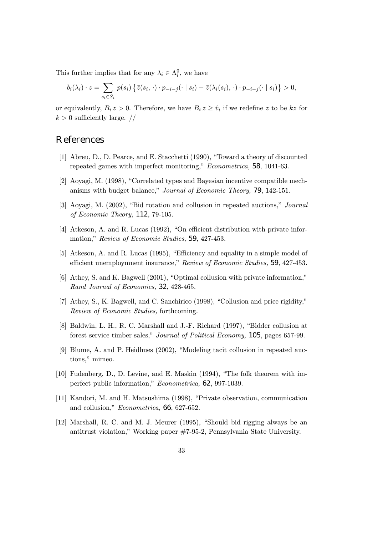This further implies that for any  $\lambda_i \in \Lambda_i^0$ , we have

$$
b_i(\lambda_i)\cdot z = \sum_{s_i\in S_i} p(s_i) \left\{ \bar{z}(s_i, \cdot) \cdot p_{-i-j}(\cdot \mid s_i) - \bar{z}(\lambda_i(s_i), \cdot) \cdot p_{-i-j}(\cdot \mid s_i) \right\} > 0,
$$

or equivalently,  $B_i z > 0$ . Therefore, we have  $B_i z \geq \hat{v}_i$  if we redefine z to be kz for  $k > 0$  sufficiently large. //

#### References

- [1] Abreu, D., D. Pearce, and E. Stacchetti (1990), "Toward a theory of discounted repeated games with imperfect monitoring," *Econometrica*, 58, 1041-63.
- [2] Aoyagi, M.  $(1998)$ , "Correlated types and Bayesian incentive compatible mechanisms with budget balance," Journal of Economic Theory, 79, 142-151.
- [3] Aoyagi, M.  $(2002)$ , "Bid rotation and collusion in repeated auctions," *Journal* of Economic Theory, 112, 79-105.
- [4] Atkeson, A. and R. Lucas (1992), "On efficient distribution with private information," Review of Economic Studies, 59, 427-453.
- $[5]$  Atkeson, A. and R. Lucas (1995), "Efficiency and equality in a simple model of efficient unemploymnent insurance," Review of Economic Studies, 59, 427-453.
- $[6]$  Athey, S. and K. Bagwell  $(2001)$ , "Optimal collusion with private information," Rand Journal of Economics, 32, 428-465.
- $[7]$  Athey, S., K. Bagwell, and C. Sanchirico (1998), "Collusion and price rigidity," Review of Economic Studies, forthcoming.
- [8] Baldwin, L. H., R. C. Marshall and J.-F. Richard  $(1997)$ , "Bidder collusion at forest service timber sales," Journal of Political Economy, 105, pages 657-99.
- [9] Blume, A. and P. Heidhues  $(2002)$ , "Modeling tacit collusion in repeated auctions," mimeo.
- [10] Fudenberg, D., D. Levine, and E. Maskin  $(1994)$ , "The folk theorem with imperfect public information," *Econometrica*, 62, 997-1039.
- [11] Kandori, M. and H. Matsushima (1998), "Private observation, communication and collusion," *Econometrica*, 66, 627-652.
- $[12]$  Marshall, R. C. and M. J. Meurer (1995), "Should bid rigging always be an antitrust violation," Working paper #7-95-2, Pennsylvania State University.